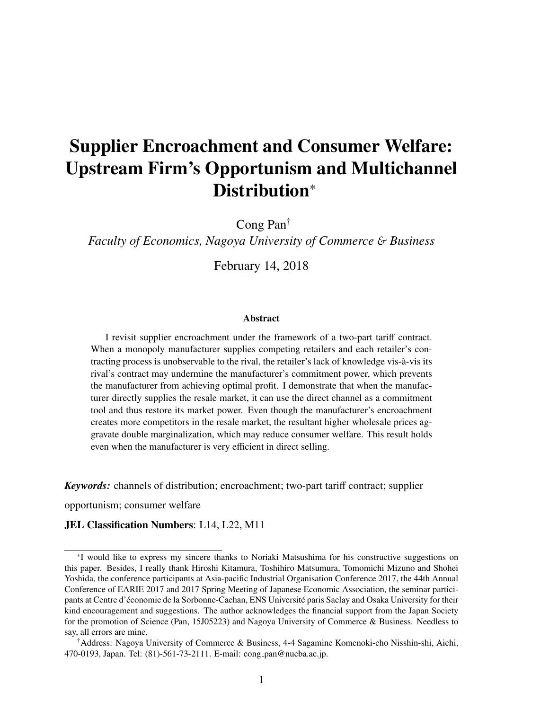# Supplier Encroachment and Consumer Welfare: Upstream Firm's Opportunism and Multichannel Distribution\*

Cong Pan†

*Faculty of Economics, Nagoya University of Commerce* & *Business*

February 14, 2018

#### **Abstract**

I revisit supplier encroachment under the framework of a two-part tariff contract. When a monopoly manufacturer supplies competing retailers and each retailer's contracting process is unobservable to the rival, the retailer's lack of knowledge vis-a-vis its ` rival's contract may undermine the manufacturer's commitment power, which prevents the manufacturer from achieving optimal profit. I demonstrate that when the manufacturer directly supplies the resale market, it can use the direct channel as a commitment tool and thus restore its market power. Even though the manufacturer's encroachment creates more competitors in the resale market, the resultant higher wholesale prices aggravate double marginalization, which may reduce consumer welfare. This result holds even when the manufacturer is very efficient in direct selling.

*Keywords:* channels of distribution; encroachment; two-part tariff contract; supplier

opportunism; consumer welfare

#### JEL Classification Numbers: L14, L22, M11

<sup>\*</sup>I would like to express my sincere thanks to Noriaki Matsushima for his constructive suggestions on this paper. Besides, I really thank Hiroshi Kitamura, Toshihiro Matsumura, Tomomichi Mizuno and Shohei Yoshida, the conference participants at Asia-pacific Industrial Organisation Conference 2017, the 44th Annual Conference of EARIE 2017 and 2017 Spring Meeting of Japanese Economic Association, the seminar participants at Centre d'économie de la Sorbonne-Cachan, ENS Université paris Saclay and Osaka University for their kind encouragement and suggestions. The author acknowledges the financial support from the Japan Society for the promotion of Science (Pan, 15J05223) and Nagoya University of Commerce & Business. Needless to say, all errors are mine.

<sup>†</sup>Address: Nagoya University of Commerce & Business, 4-4 Sagamine Komenoki-cho Nisshin-shi, Aichi, 470-0193, Japan. Tel: (81)-561-73-2111. E-mail: cong pan@nucba.ac.jp.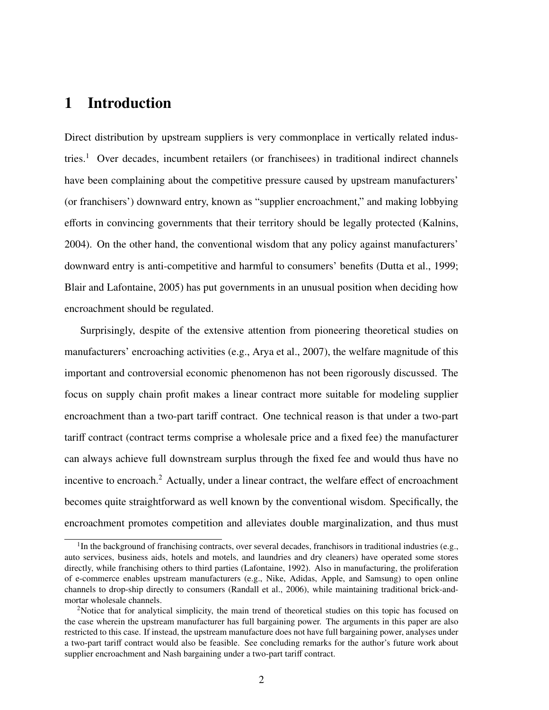# 1 Introduction

Direct distribution by upstream suppliers is very commonplace in vertically related industries.<sup>1</sup> Over decades, incumbent retailers (or franchisees) in traditional indirect channels have been complaining about the competitive pressure caused by upstream manufacturers' (or franchisers') downward entry, known as "supplier encroachment," and making lobbying efforts in convincing governments that their territory should be legally protected (Kalnins, 2004). On the other hand, the conventional wisdom that any policy against manufacturers' downward entry is anti-competitive and harmful to consumers' benefits (Dutta et al., 1999; Blair and Lafontaine, 2005) has put governments in an unusual position when deciding how encroachment should be regulated.

Surprisingly, despite of the extensive attention from pioneering theoretical studies on manufacturers' encroaching activities (e.g., Arya et al., 2007), the welfare magnitude of this important and controversial economic phenomenon has not been rigorously discussed. The focus on supply chain profit makes a linear contract more suitable for modeling supplier encroachment than a two-part tariff contract. One technical reason is that under a two-part tariff contract (contract terms comprise a wholesale price and a fixed fee) the manufacturer can always achieve full downstream surplus through the fixed fee and would thus have no incentive to encroach.<sup>2</sup> Actually, under a linear contract, the welfare effect of encroachment becomes quite straightforward as well known by the conventional wisdom. Specifically, the encroachment promotes competition and alleviates double marginalization, and thus must

<sup>&</sup>lt;sup>1</sup>In the background of franchising contracts, over several decades, franchisors in traditional industries (e.g., auto services, business aids, hotels and motels, and laundries and dry cleaners) have operated some stores directly, while franchising others to third parties (Lafontaine, 1992). Also in manufacturing, the proliferation of e-commerce enables upstream manufacturers (e.g., Nike, Adidas, Apple, and Samsung) to open online channels to drop-ship directly to consumers (Randall et al., 2006), while maintaining traditional brick-andmortar wholesale channels.

<sup>&</sup>lt;sup>2</sup>Notice that for analytical simplicity, the main trend of theoretical studies on this topic has focused on the case wherein the upstream manufacturer has full bargaining power. The arguments in this paper are also restricted to this case. If instead, the upstream manufacture does not have full bargaining power, analyses under a two-part tariff contract would also be feasible. See concluding remarks for the author's future work about supplier encroachment and Nash bargaining under a two-part tariff contract.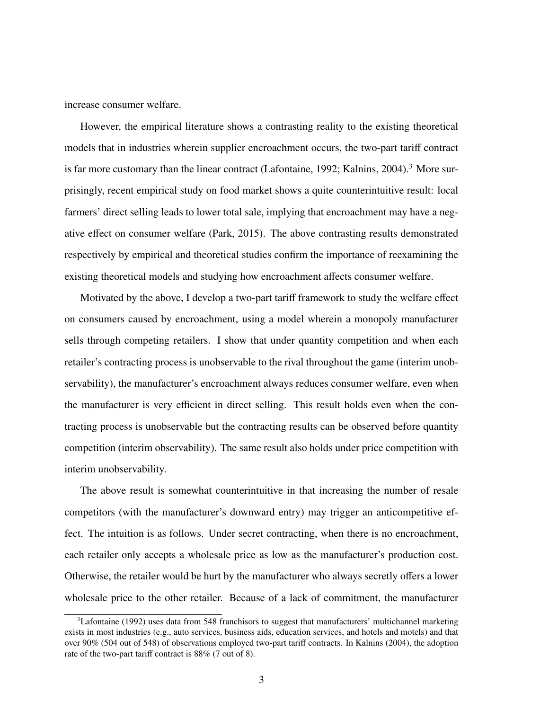increase consumer welfare.

However, the empirical literature shows a contrasting reality to the existing theoretical models that in industries wherein supplier encroachment occurs, the two-part tariff contract is far more customary than the linear contract (Lafontaine, 1992; Kalnins, 2004).<sup>3</sup> More surprisingly, recent empirical study on food market shows a quite counterintuitive result: local farmers' direct selling leads to lower total sale, implying that encroachment may have a negative effect on consumer welfare (Park, 2015). The above contrasting results demonstrated respectively by empirical and theoretical studies confirm the importance of reexamining the existing theoretical models and studying how encroachment affects consumer welfare.

Motivated by the above, I develop a two-part tariff framework to study the welfare effect on consumers caused by encroachment, using a model wherein a monopoly manufacturer sells through competing retailers. I show that under quantity competition and when each retailer's contracting process is unobservable to the rival throughout the game (interim unobservability), the manufacturer's encroachment always reduces consumer welfare, even when the manufacturer is very efficient in direct selling. This result holds even when the contracting process is unobservable but the contracting results can be observed before quantity competition (interim observability). The same result also holds under price competition with interim unobservability.

The above result is somewhat counterintuitive in that increasing the number of resale competitors (with the manufacturer's downward entry) may trigger an anticompetitive effect. The intuition is as follows. Under secret contracting, when there is no encroachment, each retailer only accepts a wholesale price as low as the manufacturer's production cost. Otherwise, the retailer would be hurt by the manufacturer who always secretly offers a lower wholesale price to the other retailer. Because of a lack of commitment, the manufacturer

 $3$ Lafontaine (1992) uses data from 548 franchisors to suggest that manufacturers' multichannel marketing exists in most industries (e.g., auto services, business aids, education services, and hotels and motels) and that over 90% (504 out of 548) of observations employed two-part tariff contracts. In Kalnins (2004), the adoption rate of the two-part tariff contract is 88% (7 out of 8).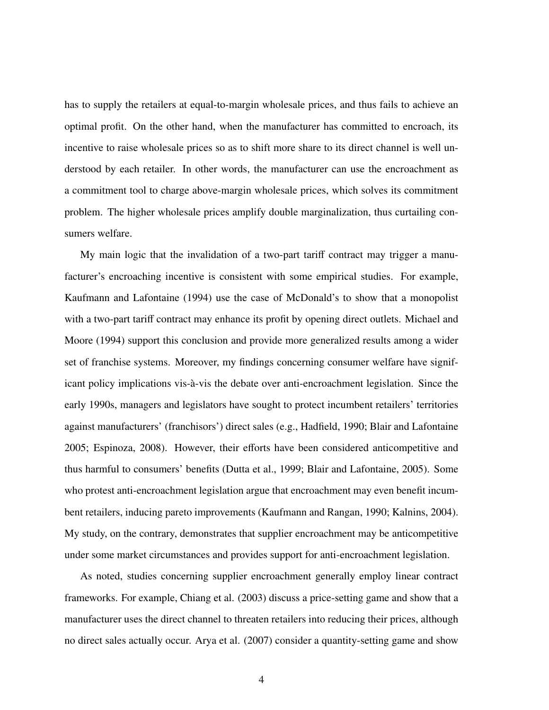has to supply the retailers at equal-to-margin wholesale prices, and thus fails to achieve an optimal profit. On the other hand, when the manufacturer has committed to encroach, its incentive to raise wholesale prices so as to shift more share to its direct channel is well understood by each retailer. In other words, the manufacturer can use the encroachment as a commitment tool to charge above-margin wholesale prices, which solves its commitment problem. The higher wholesale prices amplify double marginalization, thus curtailing consumers welfare.

My main logic that the invalidation of a two-part tariff contract may trigger a manufacturer's encroaching incentive is consistent with some empirical studies. For example, Kaufmann and Lafontaine (1994) use the case of McDonald's to show that a monopolist with a two-part tariff contract may enhance its profit by opening direct outlets. Michael and Moore (1994) support this conclusion and provide more generalized results among a wider set of franchise systems. Moreover, my findings concerning consumer welfare have significant policy implications vis-à-vis the debate over anti-encroachment legislation. Since the early 1990s, managers and legislators have sought to protect incumbent retailers' territories against manufacturers' (franchisors') direct sales (e.g., Hadfield, 1990; Blair and Lafontaine 2005; Espinoza, 2008). However, their efforts have been considered anticompetitive and thus harmful to consumers' benefits (Dutta et al., 1999; Blair and Lafontaine, 2005). Some who protest anti-encroachment legislation argue that encroachment may even benefit incumbent retailers, inducing pareto improvements (Kaufmann and Rangan, 1990; Kalnins, 2004). My study, on the contrary, demonstrates that supplier encroachment may be anticompetitive under some market circumstances and provides support for anti-encroachment legislation.

As noted, studies concerning supplier encroachment generally employ linear contract frameworks. For example, Chiang et al. (2003) discuss a price-setting game and show that a manufacturer uses the direct channel to threaten retailers into reducing their prices, although no direct sales actually occur. Arya et al. (2007) consider a quantity-setting game and show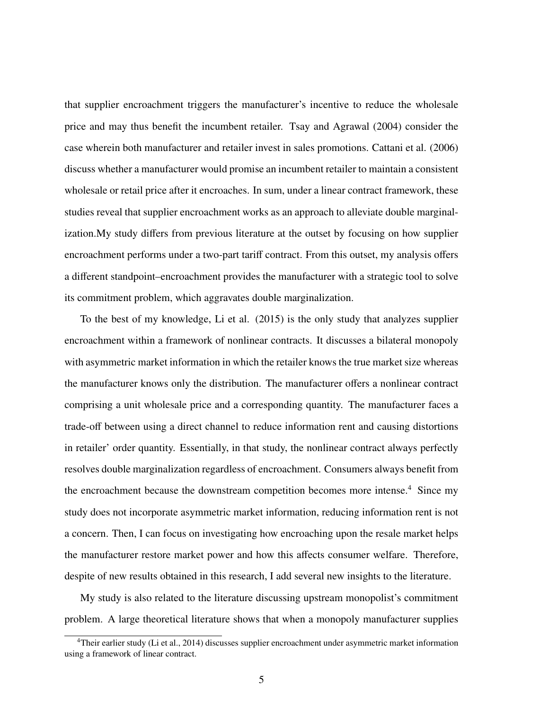that supplier encroachment triggers the manufacturer's incentive to reduce the wholesale price and may thus benefit the incumbent retailer. Tsay and Agrawal (2004) consider the case wherein both manufacturer and retailer invest in sales promotions. Cattani et al. (2006) discuss whether a manufacturer would promise an incumbent retailer to maintain a consistent wholesale or retail price after it encroaches. In sum, under a linear contract framework, these studies reveal that supplier encroachment works as an approach to alleviate double marginalization.My study differs from previous literature at the outset by focusing on how supplier encroachment performs under a two-part tariff contract. From this outset, my analysis offers a different standpoint–encroachment provides the manufacturer with a strategic tool to solve its commitment problem, which aggravates double marginalization.

To the best of my knowledge, Li et al. (2015) is the only study that analyzes supplier encroachment within a framework of nonlinear contracts. It discusses a bilateral monopoly with asymmetric market information in which the retailer knows the true market size whereas the manufacturer knows only the distribution. The manufacturer offers a nonlinear contract comprising a unit wholesale price and a corresponding quantity. The manufacturer faces a trade-off between using a direct channel to reduce information rent and causing distortions in retailer' order quantity. Essentially, in that study, the nonlinear contract always perfectly resolves double marginalization regardless of encroachment. Consumers always benefit from the encroachment because the downstream competition becomes more intense.<sup>4</sup> Since my study does not incorporate asymmetric market information, reducing information rent is not a concern. Then, I can focus on investigating how encroaching upon the resale market helps the manufacturer restore market power and how this affects consumer welfare. Therefore, despite of new results obtained in this research, I add several new insights to the literature.

My study is also related to the literature discussing upstream monopolist's commitment problem. A large theoretical literature shows that when a monopoly manufacturer supplies

<sup>4</sup>Their earlier study (Li et al., 2014) discusses supplier encroachment under asymmetric market information using a framework of linear contract.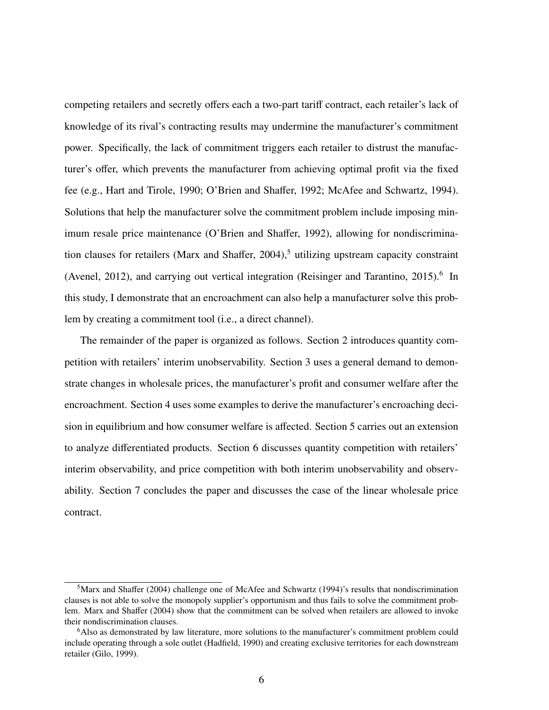competing retailers and secretly offers each a two-part tariff contract, each retailer's lack of knowledge of its rival's contracting results may undermine the manufacturer's commitment power. Specifically, the lack of commitment triggers each retailer to distrust the manufacturer's offer, which prevents the manufacturer from achieving optimal profit via the fixed fee (e.g., Hart and Tirole, 1990; O'Brien and Shaffer, 1992; McAfee and Schwartz, 1994). Solutions that help the manufacturer solve the commitment problem include imposing minimum resale price maintenance (O'Brien and Shaffer, 1992), allowing for nondiscrimination clauses for retailers (Marx and Shaffer,  $2004$ ),<sup>5</sup> utilizing upstream capacity constraint (Avenel, 2012), and carrying out vertical integration (Reisinger and Tarantino, 2015).<sup>6</sup> In this study, I demonstrate that an encroachment can also help a manufacturer solve this problem by creating a commitment tool (i.e., a direct channel).

The remainder of the paper is organized as follows. Section 2 introduces quantity competition with retailers' interim unobservability. Section 3 uses a general demand to demonstrate changes in wholesale prices, the manufacturer's profit and consumer welfare after the encroachment. Section 4 uses some examples to derive the manufacturer's encroaching decision in equilibrium and how consumer welfare is affected. Section 5 carries out an extension to analyze differentiated products. Section 6 discusses quantity competition with retailers' interim observability, and price competition with both interim unobservability and observability. Section 7 concludes the paper and discusses the case of the linear wholesale price contract.

<sup>&</sup>lt;sup>5</sup>Marx and Shaffer (2004) challenge one of McAfee and Schwartz (1994)'s results that nondiscrimination clauses is not able to solve the monopoly supplier's opportunism and thus fails to solve the commitment problem. Marx and Shaffer (2004) show that the commitment can be solved when retailers are allowed to invoke their nondiscrimination clauses.

<sup>6</sup>Also as demonstrated by law literature, more solutions to the manufacturer's commitment problem could include operating through a sole outlet (Hadfield, 1990) and creating exclusive territories for each downstream retailer (Gilo, 1999).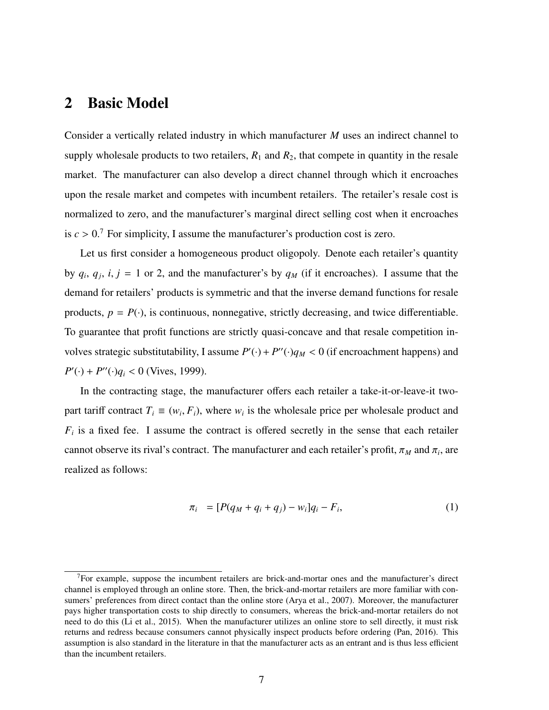### 2 Basic Model

Consider a vertically related industry in which manufacturer *M* uses an indirect channel to supply wholesale products to two retailers,  $R_1$  and  $R_2$ , that compete in quantity in the resale market. The manufacturer can also develop a direct channel through which it encroaches upon the resale market and competes with incumbent retailers. The retailer's resale cost is normalized to zero, and the manufacturer's marginal direct selling cost when it encroaches is  $c > 0$ .<sup>7</sup> For simplicity, I assume the manufacturer's production cost is zero.

Let us first consider a homogeneous product oligopoly. Denote each retailer's quantity by  $q_i$ ,  $q_j$ ,  $i, j = 1$  or 2, and the manufacturer's by  $q_M$  (if it encroaches). I assume that the demand for retailers' products is symmetric and that the inverse demand functions for resale products,  $p = P(\cdot)$ , is continuous, nonnegative, strictly decreasing, and twice differentiable. To guarantee that profit functions are strictly quasi-concave and that resale competition involves strategic substitutability, I assume  $P'(\cdot) + P''(\cdot)q_M < 0$  (if encroachment happens) and  $P'(\cdot) + P''(\cdot)q_i < 0$  (Vives, 1999).

In the contracting stage, the manufacturer offers each retailer a take-it-or-leave-it twopart tariff contract  $T_i \equiv (w_i, F_i)$ , where  $w_i$  is the wholesale price per wholesale product and  $F_i$  is a fixed fee. I assume the contract is offered secretly in the sense that each retailer cannot observe its rival's contract. The manufacturer and each retailer's profit,  $\pi_M$  and  $\pi_i$ , are realized as follows:

$$
\pi_i = [P(q_M + q_i + q_j) - w_i]q_i - F_i,
$$
\n(1)

 $<sup>7</sup>$  For example, suppose the incumbent retailers are brick-and-mortar ones and the manufacturer's direct</sup> channel is employed through an online store. Then, the brick-and-mortar retailers are more familiar with consumers' preferences from direct contact than the online store (Arya et al., 2007). Moreover, the manufacturer pays higher transportation costs to ship directly to consumers, whereas the brick-and-mortar retailers do not need to do this (Li et al., 2015). When the manufacturer utilizes an online store to sell directly, it must risk returns and redress because consumers cannot physically inspect products before ordering (Pan, 2016). This assumption is also standard in the literature in that the manufacturer acts as an entrant and is thus less efficient than the incumbent retailers.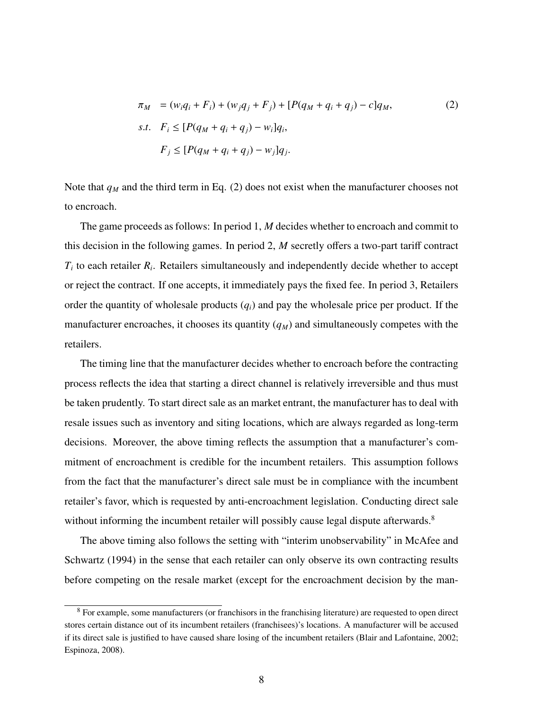$$
\pi_M = (w_i q_i + F_i) + (w_j q_j + F_j) + [P(q_M + q_i + q_j) - c]q_M,
$$
  
s.t.  $F_i \leq [P(q_M + q_i + q_j) - w_i]q_i,$   
 $F_j \leq [P(q_M + q_i + q_j) - w_j]q_j.$  (2)

Note that  $q_M$  and the third term in Eq. (2) does not exist when the manufacturer chooses not to encroach.

The game proceeds as follows: In period 1, *M* decides whether to encroach and commit to this decision in the following games. In period 2, *M* secretly offers a two-part tariff contract  $T_i$  to each retailer  $R_i$ . Retailers simultaneously and independently decide whether to accept or reject the contract. If one accepts, it immediately pays the fixed fee. In period 3, Retailers order the quantity of wholesale products  $(q_i)$  and pay the wholesale price per product. If the manufacturer encroaches, it chooses its quantity  $(q_M)$  and simultaneously competes with the retailers.

The timing line that the manufacturer decides whether to encroach before the contracting process reflects the idea that starting a direct channel is relatively irreversible and thus must be taken prudently. To start direct sale as an market entrant, the manufacturer has to deal with resale issues such as inventory and siting locations, which are always regarded as long-term decisions. Moreover, the above timing reflects the assumption that a manufacturer's commitment of encroachment is credible for the incumbent retailers. This assumption follows from the fact that the manufacturer's direct sale must be in compliance with the incumbent retailer's favor, which is requested by anti-encroachment legislation. Conducting direct sale without informing the incumbent retailer will possibly cause legal dispute afterwards.<sup>8</sup>

The above timing also follows the setting with "interim unobservability" in McAfee and Schwartz (1994) in the sense that each retailer can only observe its own contracting results before competing on the resale market (except for the encroachment decision by the man-

<sup>&</sup>lt;sup>8</sup> For example, some manufacturers (or franchisors in the franchising literature) are requested to open direct stores certain distance out of its incumbent retailers (franchisees)'s locations. A manufacturer will be accused if its direct sale is justified to have caused share losing of the incumbent retailers (Blair and Lafontaine, 2002; Espinoza, 2008).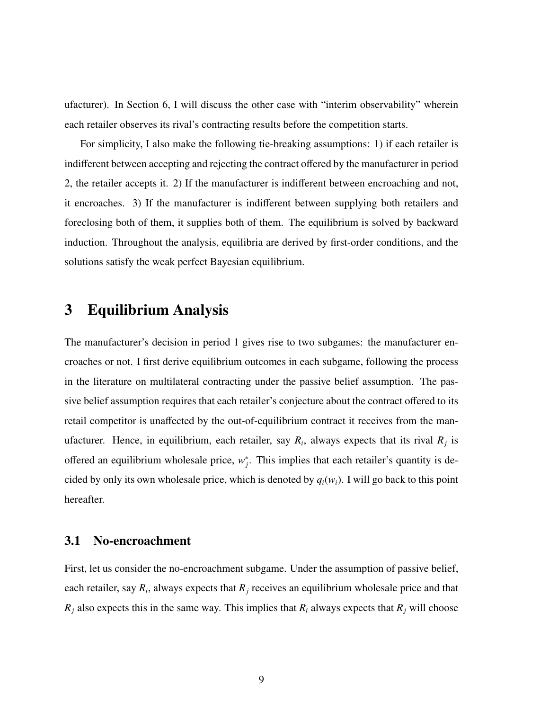ufacturer). In Section 6, I will discuss the other case with "interim observability" wherein each retailer observes its rival's contracting results before the competition starts.

For simplicity, I also make the following tie-breaking assumptions: 1) if each retailer is indifferent between accepting and rejecting the contract offered by the manufacturer in period 2, the retailer accepts it. 2) If the manufacturer is indifferent between encroaching and not, it encroaches. 3) If the manufacturer is indifferent between supplying both retailers and foreclosing both of them, it supplies both of them. The equilibrium is solved by backward induction. Throughout the analysis, equilibria are derived by first-order conditions, and the solutions satisfy the weak perfect Bayesian equilibrium.

# 3 Equilibrium Analysis

The manufacturer's decision in period 1 gives rise to two subgames: the manufacturer encroaches or not. I first derive equilibrium outcomes in each subgame, following the process in the literature on multilateral contracting under the passive belief assumption. The passive belief assumption requires that each retailer's conjecture about the contract offered to its retail competitor is unaffected by the out-of-equilibrium contract it receives from the manufacturer. Hence, in equilibrium, each retailer, say  $R_i$ , always expects that its rival  $R_j$  is offered an equilibrium wholesale price,  $w_j^*$ . This implies that each retailer's quantity is decided by only its own wholesale price, which is denoted by  $q_i(w_i)$ . I will go back to this point hereafter.

### 3.1 No-encroachment

First, let us consider the no-encroachment subgame. Under the assumption of passive belief, each retailer, say  $R_i$ , always expects that  $R_j$  receives an equilibrium wholesale price and that  $R_j$  also expects this in the same way. This implies that  $R_i$  always expects that  $R_j$  will choose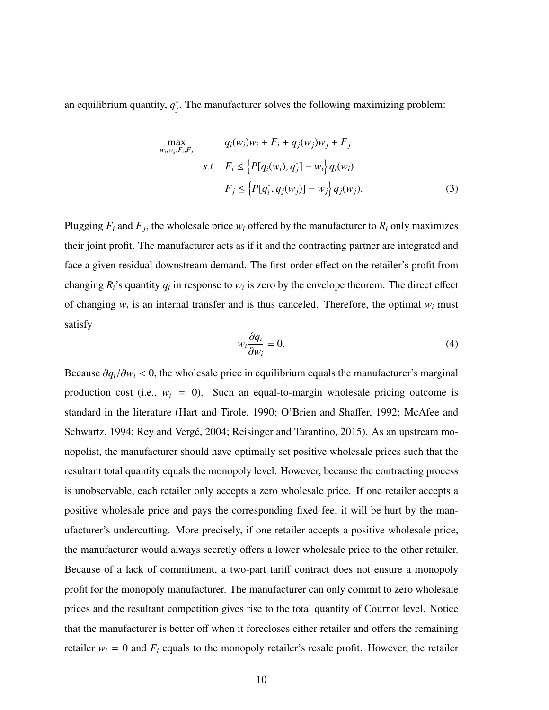an equilibrium quantity,  $q_j^*$ . The manufacturer solves the following maximizing problem:

$$
\max_{w_i, w_j, F_i, F_j} \qquad q_i(w_i)w_i + F_i + q_j(w_j)w_j + F_j
$$
\n
$$
s.t. \quad F_i \le \left\{ P[q_i(w_i), q_j^*] - w_i \right\} q_i(w_i)
$$
\n
$$
F_j \le \left\{ P[q_i^*, q_j(w_j)] - w_j \right\} q_j(w_j). \tag{3}
$$

Plugging  $F_i$  and  $F_j$ , the wholesale price  $w_i$  offered by the manufacturer to  $R_i$  only maximizes their joint profit. The manufacturer acts as if it and the contracting partner are integrated and face a given residual downstream demand. The first-order effect on the retailer's profit from changing  $R_i$ 's quantity  $q_i$  in response to  $w_i$  is zero by the envelope theorem. The direct effect of changing  $w_i$  is an internal transfer and is thus canceled. Therefore, the optimal  $w_i$  must satisfy

$$
w_i \frac{\partial q_i}{\partial w_i} = 0. \tag{4}
$$

Because  $\partial q_i/\partial w_i$  < 0, the wholesale price in equilibrium equals the manufacturer's marginal production cost (i.e.,  $w_i = 0$ ). Such an equal-to-margin wholesale pricing outcome is standard in the literature (Hart and Tirole, 1990; O'Brien and Shaffer, 1992; McAfee and Schwartz, 1994; Rey and Vergé, 2004; Reisinger and Tarantino, 2015). As an upstream monopolist, the manufacturer should have optimally set positive wholesale prices such that the resultant total quantity equals the monopoly level. However, because the contracting process is unobservable, each retailer only accepts a zero wholesale price. If one retailer accepts a positive wholesale price and pays the corresponding fixed fee, it will be hurt by the manufacturer's undercutting. More precisely, if one retailer accepts a positive wholesale price, the manufacturer would always secretly offers a lower wholesale price to the other retailer. Because of a lack of commitment, a two-part tariff contract does not ensure a monopoly profit for the monopoly manufacturer. The manufacturer can only commit to zero wholesale prices and the resultant competition gives rise to the total quantity of Cournot level. Notice that the manufacturer is better off when it forecloses either retailer and offers the remaining retailer  $w_i = 0$  and  $F_i$  equals to the monopoly retailer's resale profit. However, the retailer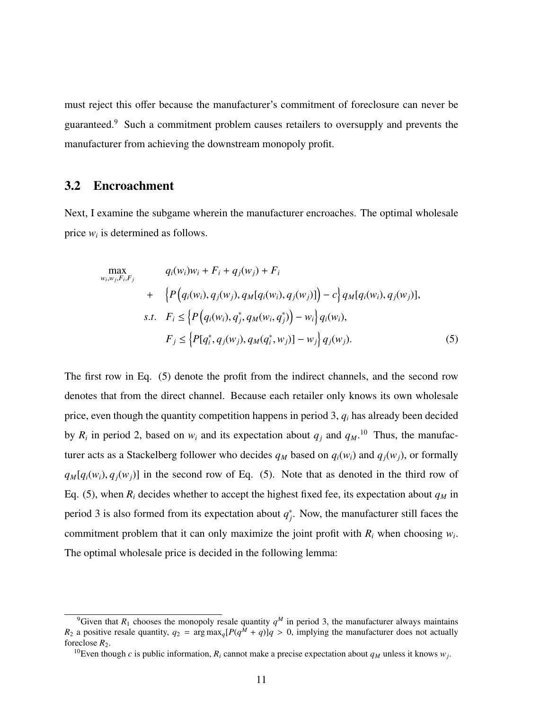must reject this offer because the manufacturer's commitment of foreclosure can never be guaranteed.<sup>9</sup> Such a commitment problem causes retailers to oversupply and prevents the manufacturer from achieving the downstream monopoly profit.

### 3.2 Encroachment

Next, I examine the subgame wherein the manufacturer encroaches. The optimal wholesale price  $w_i$  is determined as follows.

$$
\max_{w_i, w_j, F_i, F_j} \qquad q_i(w_i)w_i + F_i + q_j(w_j) + F_i + \left\{ P\Big(q_i(w_i), q_j(w_j), q_M[q_i(w_i), q_j(w_j)]\Big) - c \right\} q_M[q_i(w_i), q_j(w_j)],
$$
  
s.t.  $F_i \leq \left\{ P\Big(q_i(w_i), q_j^*, q_M(w_i, q_j^*)\Big) - w_i \right\} q_i(w_i),$   
 $F_j \leq \left\{ P[q_i^*, q_j(w_j), q_M(q_i^*, w_j)] - w_j \right\} q_j(w_j).$  (5)

The first row in Eq. (5) denote the profit from the indirect channels, and the second row denotes that from the direct channel. Because each retailer only knows its own wholesale price, even though the quantity competition happens in period 3, *q<sup>i</sup>* has already been decided by  $R_i$  in period 2, based on  $w_i$  and its expectation about  $q_j$  and  $q_M$ .<sup>10</sup> Thus, the manufacturer acts as a Stackelberg follower who decides  $q_M$  based on  $q_i(w_i)$  and  $q_i(w_i)$ , or formally  $q_M[q_i(w_i), q_i(w_i)]$  in the second row of Eq. (5). Note that as denoted in the third row of Eq. (5), when  $R_i$  decides whether to accept the highest fixed fee, its expectation about  $q_M$  in period 3 is also formed from its expectation about  $q_j^*$ . Now, the manufacturer still faces the commitment problem that it can only maximize the joint profit with  $R_i$  when choosing  $w_i$ . The optimal wholesale price is decided in the following lemma:

<sup>&</sup>lt;sup>9</sup>Given that  $R_1$  chooses the monopoly resale quantity  $q^M$  in period 3, the manufacturer always maintains  $R_2$  a positive resale quantity,  $q_2 = \arg \max_q [P(q^M + q)]q > 0$ , implying the manufacturer does not actually foreclose  $R_2$ .

<sup>&</sup>lt;sup>10</sup>Even though *c* is public information,  $R_i$  cannot make a precise expectation about  $q_M$  unless it knows  $w_j$ .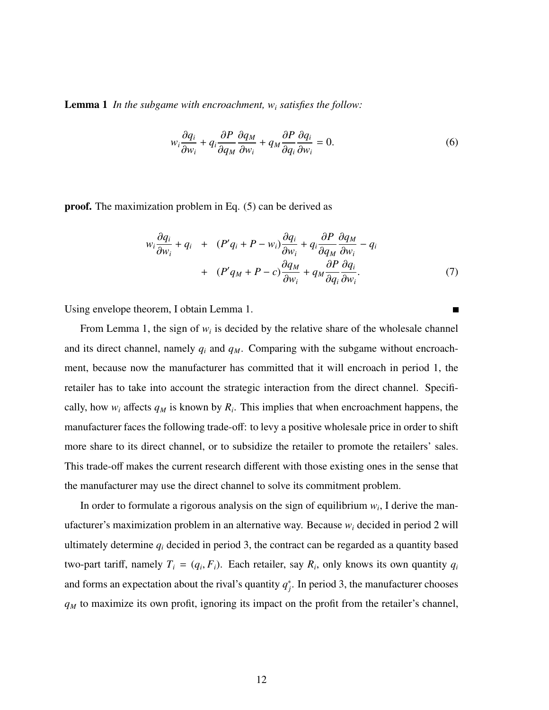Lemma 1 *In the subgame with encroachment, w<sup>i</sup> satisfies the follow:*

$$
w_i \frac{\partial q_i}{\partial w_i} + q_i \frac{\partial P}{\partial q_M} \frac{\partial q_M}{\partial w_i} + q_M \frac{\partial P}{\partial q_i} \frac{\partial q_i}{\partial w_i} = 0.
$$
 (6)

proof. The maximization problem in Eq. (5) can be derived as

$$
w_i \frac{\partial q_i}{\partial w_i} + q_i + (P'q_i + P - w_i) \frac{\partial q_i}{\partial w_i} + q_i \frac{\partial P}{\partial q_M} \frac{\partial q_M}{\partial w_i} - q_i
$$
  
+ 
$$
(P'q_M + P - c) \frac{\partial q_M}{\partial w_i} + q_M \frac{\partial P}{\partial q_i} \frac{\partial q_i}{\partial w_i}.
$$
 (7)

Using envelope theorem, I obtain Lemma 1.

From Lemma 1, the sign of  $w_i$  is decided by the relative share of the wholesale channel and its direct channel, namely  $q_i$  and  $q_M$ . Comparing with the subgame without encroachment, because now the manufacturer has committed that it will encroach in period 1, the retailer has to take into account the strategic interaction from the direct channel. Specifically, how  $w_i$  affects  $q_M$  is known by  $R_i$ . This implies that when encroachment happens, the manufacturer faces the following trade-off: to levy a positive wholesale price in order to shift more share to its direct channel, or to subsidize the retailer to promote the retailers' sales. This trade-off makes the current research different with those existing ones in the sense that the manufacturer may use the direct channel to solve its commitment problem.

In order to formulate a rigorous analysis on the sign of equilibrium  $w_i$ , I derive the manufacturer's maximization problem in an alternative way. Because *w<sup>i</sup>* decided in period 2 will ultimately determine  $q_i$  decided in period 3, the contract can be regarded as a quantity based two-part tariff, namely  $T_i = (q_i, F_i)$ . Each retailer, say  $R_i$ , only knows its own quantity  $q_i$ and forms an expectation about the rival's quantity  $q_j^*$ . In period 3, the manufacturer chooses *q<sup>M</sup>* to maximize its own profit, ignoring its impact on the profit from the retailer's channel,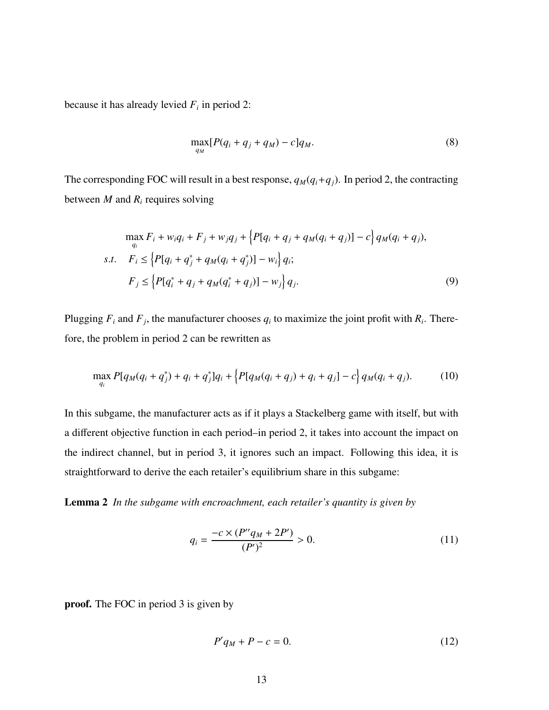because it has already levied  $F_i$  in period 2:

$$
\max_{q_M} [P(q_i + q_j + q_M) - c] q_M. \tag{8}
$$

The corresponding FOC will result in a best response,  $q_M(q_i+q_j)$ . In period 2, the contracting between *M* and *R<sup>i</sup>* requires solving

$$
\max_{q_i} F_i + w_i q_i + F_j + w_j q_j + \{ P[q_i + q_j + q_M(q_i + q_j)] - c \} q_M(q_i + q_j),
$$
  
s.t. 
$$
F_i \leq \{ P[q_i + q_j^* + q_M(q_i + q_j^*)] - w_i \} q_i;
$$

$$
F_j \leq \{ P[q_i^* + q_j + q_M(q_i^* + q_j)] - w_j \} q_j.
$$
(9)

Plugging  $F_i$  and  $F_j$ , the manufacturer chooses  $q_i$  to maximize the joint profit with  $R_i$ . Therefore, the problem in period 2 can be rewritten as

$$
\max_{q_i} P[q_M(q_i + q_j^*) + q_i + q_j^*]q_i + \left\{P[q_M(q_i + q_j) + q_i + q_j] - c\right\} q_M(q_i + q_j). \tag{10}
$$

In this subgame, the manufacturer acts as if it plays a Stackelberg game with itself, but with a different objective function in each period–in period 2, it takes into account the impact on the indirect channel, but in period 3, it ignores such an impact. Following this idea, it is straightforward to derive the each retailer's equilibrium share in this subgame:

Lemma 2 *In the subgame with encroachment, each retailer's quantity is given by*

$$
q_i = \frac{-c \times (P''q_M + 2P')}{(P')^2} > 0.
$$
 (11)

proof. The FOC in period 3 is given by

$$
P'q_M + P - c = 0.\t\t(12)
$$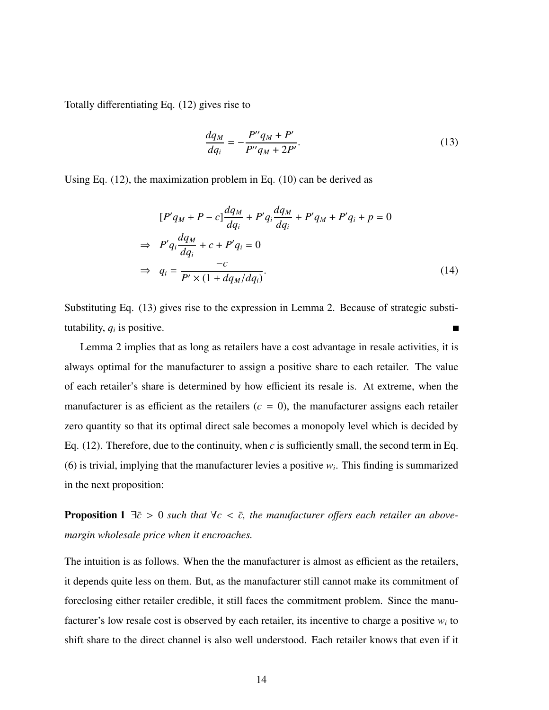Totally differentiating Eq. (12) gives rise to

$$
\frac{dq_M}{dq_i} = -\frac{P''q_M + P'}{P''q_M + 2P'}.\tag{13}
$$

Using Eq. (12), the maximization problem in Eq. (10) can be derived as

$$
[P'q_M + P - c] \frac{dq_M}{dq_i} + P'q_i \frac{dq_M}{dq_i} + P'q_M + P'q_i + p = 0
$$
  
\n
$$
\Rightarrow P'q_i \frac{dq_M}{dq_i} + c + P'q_i = 0
$$
  
\n
$$
\Rightarrow q_i = \frac{-c}{P' \times (1 + dq_M/dq_i)}.
$$
\n(14)

Substituting Eq. (13) gives rise to the expression in Lemma 2. Because of strategic substitutability,  $q_i$  is positive.  $\blacksquare$ 

Lemma 2 implies that as long as retailers have a cost advantage in resale activities, it is always optimal for the manufacturer to assign a positive share to each retailer. The value of each retailer's share is determined by how efficient its resale is. At extreme, when the manufacturer is as efficient as the retailers  $(c = 0)$ , the manufacturer assigns each retailer zero quantity so that its optimal direct sale becomes a monopoly level which is decided by Eq. (12). Therefore, due to the continuity, when *c* is sufficiently small, the second term in Eq. (6) is trivial, implying that the manufacturer levies a positive  $w_i$ . This finding is summarized in the next proposition:

**Proposition 1**  $\exists \bar{c} > 0$  *such that*  $\forall c < \bar{c}$ *, the manufacturer offers each retailer an abovemargin wholesale price when it encroaches.*

The intuition is as follows. When the the manufacturer is almost as efficient as the retailers, it depends quite less on them. But, as the manufacturer still cannot make its commitment of foreclosing either retailer credible, it still faces the commitment problem. Since the manufacturer's low resale cost is observed by each retailer, its incentive to charge a positive *w<sup>i</sup>* to shift share to the direct channel is also well understood. Each retailer knows that even if it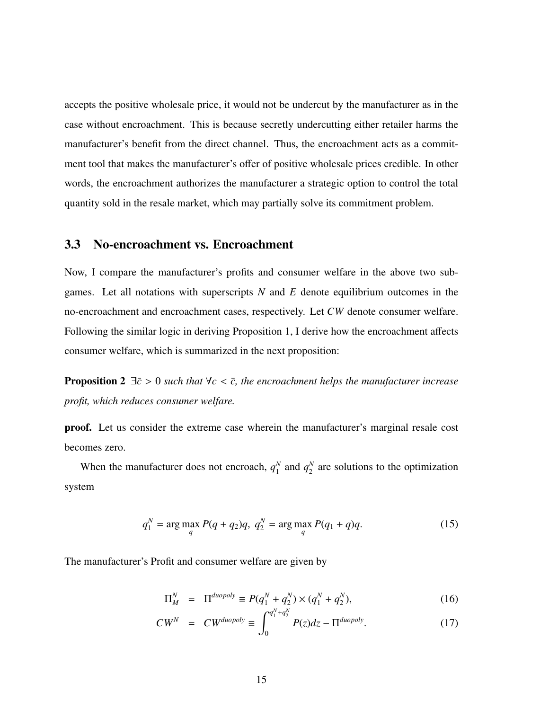accepts the positive wholesale price, it would not be undercut by the manufacturer as in the case without encroachment. This is because secretly undercutting either retailer harms the manufacturer's benefit from the direct channel. Thus, the encroachment acts as a commitment tool that makes the manufacturer's offer of positive wholesale prices credible. In other words, the encroachment authorizes the manufacturer a strategic option to control the total quantity sold in the resale market, which may partially solve its commitment problem.

### 3.3 No-encroachment vs. Encroachment

Now, I compare the manufacturer's profits and consumer welfare in the above two subgames. Let all notations with superscripts *N* and *E* denote equilibrium outcomes in the no-encroachment and encroachment cases, respectively. Let *CW* denote consumer welfare. Following the similar logic in deriving Proposition 1, I derive how the encroachment affects consumer welfare, which is summarized in the next proposition:

**Proposition 2**  $\exists \bar{c} > 0$  *such that*  $\forall c < \bar{c}$ *, the encroachment helps the manufacturer increase profit, which reduces consumer welfare.*

proof. Let us consider the extreme case wherein the manufacturer's marginal resale cost becomes zero.

When the manufacturer does not encroach,  $q_1^N$  $q_1^N$  and  $q_2^N$  $_2^N$  are solutions to the optimization system

$$
q_1^N = \arg\max_{q} P(q + q_2)q, \ q_2^N = \arg\max_{q} P(q_1 + q)q. \tag{15}
$$

The manufacturer's Profit and consumer welfare are given by

$$
\Pi_M^N = \Pi^{duopoly} \equiv P(q_1^N + q_2^N) \times (q_1^N + q_2^N), \tag{16}
$$

$$
CW^N = CW^{duopoly} \equiv \int_0^{q_1^N + q_2^N} P(z) dz - \Pi^{duopoly}.
$$
 (17)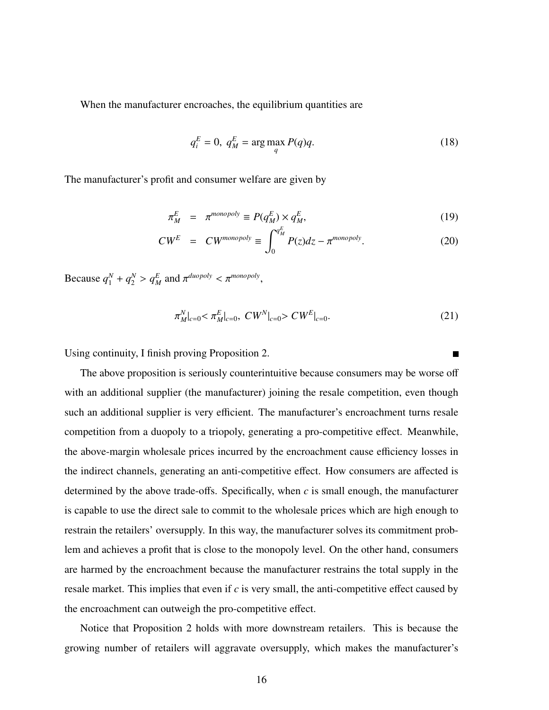When the manufacturer encroaches, the equilibrium quantities are

$$
q_i^E = 0, \ q_M^E = \arg\max_{q} P(q)q. \tag{18}
$$

The manufacturer's profit and consumer welfare are given by

$$
\pi_M^E = \pi^{monopoly} \equiv P(q_M^E) \times q_M^E,\tag{19}
$$

$$
CW^E = CW^{monopoly} \equiv \int_0^{q_M^E} P(z)dz - \pi^{monopoly}.
$$
 (20)

Because  $q_1^N + q_2^N > q_M^E$  and  $\pi^{duopoly} < \pi^{monopoly}$ ,

$$
\pi_{M}^{N}|_{c=0} < \pi_{M}^{E}|_{c=0}, \quad CW^{N}|_{c=0} > CW^{E}|_{c=0}.\tag{21}
$$

Using continuity, I finish proving Proposition 2.

The above proposition is seriously counterintuitive because consumers may be worse off with an additional supplier (the manufacturer) joining the resale competition, even though such an additional supplier is very efficient. The manufacturer's encroachment turns resale competition from a duopoly to a triopoly, generating a pro-competitive effect. Meanwhile, the above-margin wholesale prices incurred by the encroachment cause efficiency losses in the indirect channels, generating an anti-competitive effect. How consumers are affected is determined by the above trade-offs. Specifically, when *c* is small enough, the manufacturer is capable to use the direct sale to commit to the wholesale prices which are high enough to restrain the retailers' oversupply. In this way, the manufacturer solves its commitment problem and achieves a profit that is close to the monopoly level. On the other hand, consumers are harmed by the encroachment because the manufacturer restrains the total supply in the resale market. This implies that even if *c* is very small, the anti-competitive effect caused by the encroachment can outweigh the pro-competitive effect.

Notice that Proposition 2 holds with more downstream retailers. This is because the growing number of retailers will aggravate oversupply, which makes the manufacturer's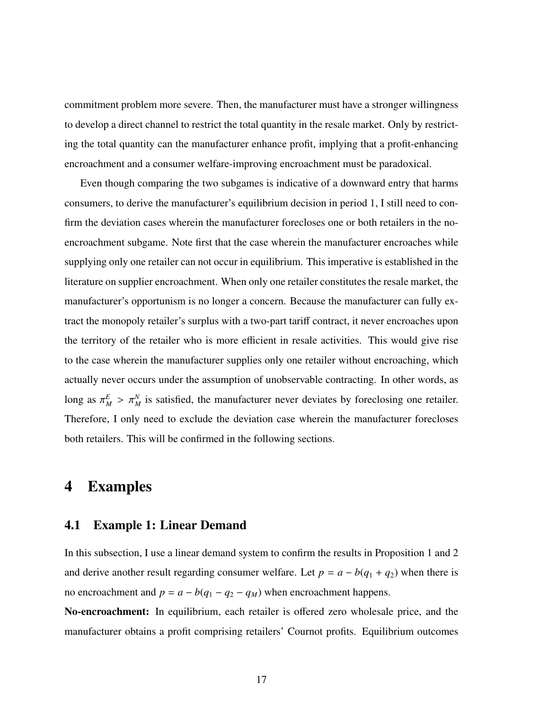commitment problem more severe. Then, the manufacturer must have a stronger willingness to develop a direct channel to restrict the total quantity in the resale market. Only by restricting the total quantity can the manufacturer enhance profit, implying that a profit-enhancing encroachment and a consumer welfare-improving encroachment must be paradoxical.

Even though comparing the two subgames is indicative of a downward entry that harms consumers, to derive the manufacturer's equilibrium decision in period 1, I still need to confirm the deviation cases wherein the manufacturer forecloses one or both retailers in the noencroachment subgame. Note first that the case wherein the manufacturer encroaches while supplying only one retailer can not occur in equilibrium. This imperative is established in the literature on supplier encroachment. When only one retailer constitutes the resale market, the manufacturer's opportunism is no longer a concern. Because the manufacturer can fully extract the monopoly retailer's surplus with a two-part tariff contract, it never encroaches upon the territory of the retailer who is more efficient in resale activities. This would give rise to the case wherein the manufacturer supplies only one retailer without encroaching, which actually never occurs under the assumption of unobservable contracting. In other words, as long as  $\pi_M^E > \pi_M^N$  is satisfied, the manufacturer never deviates by foreclosing one retailer. Therefore, I only need to exclude the deviation case wherein the manufacturer forecloses both retailers. This will be confirmed in the following sections.

### 4 Examples

### 4.1 Example 1: Linear Demand

In this subsection, I use a linear demand system to confirm the results in Proposition 1 and 2 and derive another result regarding consumer welfare. Let  $p = a - b(q_1 + q_2)$  when there is no encroachment and  $p = a - b(q_1 - q_2 - q_M)$  when encroachment happens.

No-encroachment: In equilibrium, each retailer is offered zero wholesale price, and the manufacturer obtains a profit comprising retailers' Cournot profits. Equilibrium outcomes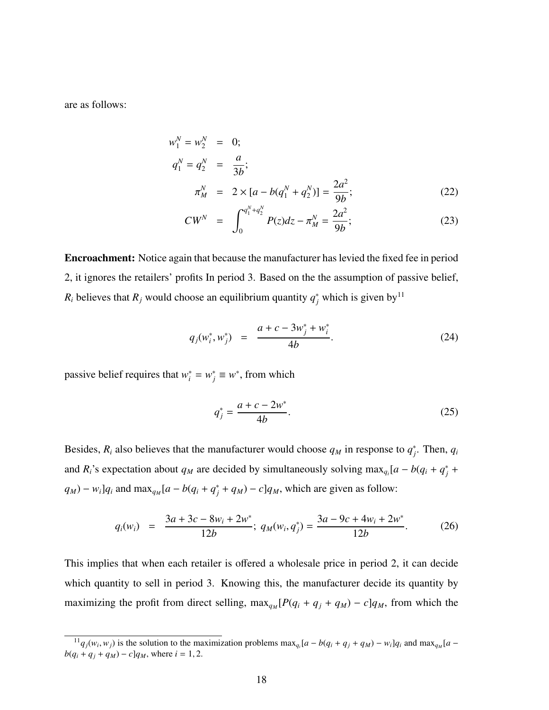are as follows:

$$
w_1^N = w_2^N = 0;
$$
  
\n
$$
q_1^N = q_2^N = \frac{a}{3b};
$$
  
\n
$$
\pi_M^N = 2 \times [a - b(q_1^N + q_2^N)] = \frac{2a^2}{9b};
$$
\n(22)

$$
CW^N = \int_0^{q_1^N + q_2^N} P(z) dz - \pi_M^N = \frac{2a^2}{9b};
$$
 (23)

Encroachment: Notice again that because the manufacturer has levied the fixed fee in period 2, it ignores the retailers' profits In period 3. Based on the the assumption of passive belief,  $R_i$  believes that  $R_j$  would choose an equilibrium quantity  $q_j^*$  which is given by<sup>11</sup>

$$
q_j(w_i^*, w_j^*) = \frac{a + c - 3w_j^* + w_i^*}{4b}.
$$
 (24)

passive belief requires that  $w_i^* = w_j^* \equiv w^*$ , from which

$$
q_j^* = \frac{a + c - 2w^*}{4b}.\tag{25}
$$

Besides,  $R_i$  also believes that the manufacturer would choose  $q_M$  in response to  $q_j^*$ . Then,  $q_i$ and *R*<sup>*i*</sup>'s expectation about *q*<sup>*M*</sup> are decided by simultaneously solving max<sub>*q*</sub></sub>[ $a - b(q_i + q_j^* + q_j^*)$ ]  $q_M$ ) −  $w_i$ ] $q_i$  and max<sub> $q_M$ </sub>[ $a - b(q_i + q_j^* + q_M) - c$ ] $q_M$ , which are given as follow:

$$
q_i(w_i) = \frac{3a + 3c - 8w_i + 2w^*}{12b}; \ q_M(w_i, q_j^*) = \frac{3a - 9c + 4w_i + 2w^*}{12b}.
$$
 (26)

This implies that when each retailer is offered a wholesale price in period 2, it can decide which quantity to sell in period 3. Knowing this, the manufacturer decide its quantity by maximizing the profit from direct selling,  $\max_{q_M} [P(q_i + q_j + q_M) - c]q_M$ , from which the

 $^{11}q_j(w_i, w_j)$  is the solution to the maximization problems  $\max_{q_i}[a - b(q_i + q_j + q_M) - w_i]q_i$  and  $\max_{q_M}[a - b(q_i + q_j + q_M)]$ *b*( $q_i + q_j + q_M$ ) – *c*] $q_M$ , where *i* = 1, 2.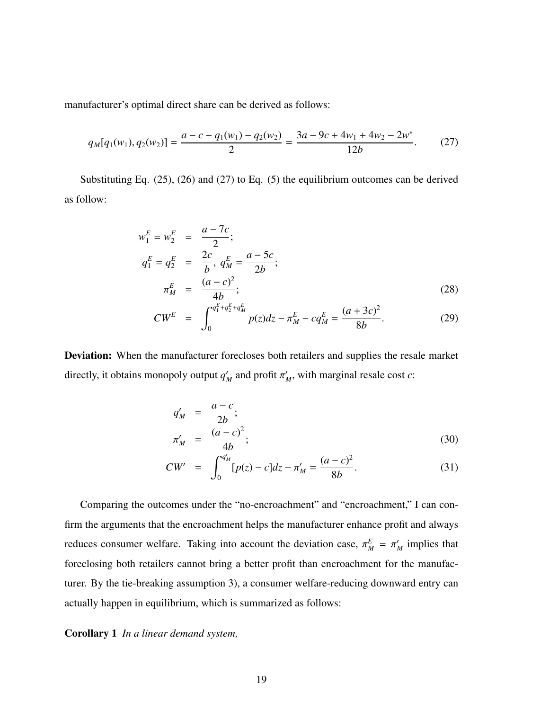manufacturer's optimal direct share can be derived as follows:

$$
q_M[q_1(w_1), q_2(w_2)] = \frac{a - c - q_1(w_1) - q_2(w_2)}{2} = \frac{3a - 9c + 4w_1 + 4w_2 - 2w^*}{12b}.
$$
 (27)

Substituting Eq. (25), (26) and (27) to Eq. (5) the equilibrium outcomes can be derived as follow:

$$
w_1^E = w_2^E = \frac{a - 7c}{2};
$$
  
\n
$$
q_1^E = q_2^E = \frac{2c}{b}, q_M^E = \frac{a - 5c}{2b};
$$
  
\n
$$
\pi_M^E = \frac{(a - c)^2}{4b};
$$
  
\n
$$
= \frac{C^{q_1^E + q_2^E + q_M^E}}{4b} = \frac{(a + 3c)^2}{2b}
$$
 (28)

$$
CW^E = \int_0^{q_1^E + q_2^E + q_M^E} p(z) dz - \pi_M^E - c q_M^E = \frac{(a+3c)^2}{8b}.
$$
 (29)

Deviation: When the manufacturer forecloses both retailers and supplies the resale market directly, it obtains monopoly output  $q'_M$  and profit  $\pi'_M$ , with marginal resale cost *c*:

$$
q'_M = \frac{a-c}{2b};
$$
  
\n
$$
\pi'_M = \frac{(a-c)^2}{4b};
$$
\n(30)

$$
CW' = \int_0^{q'_M} [p(z) - c] dz - \pi'_M = \frac{(a - c)^2}{8b}.
$$
 (31)

Comparing the outcomes under the "no-encroachment" and "encroachment," I can confirm the arguments that the encroachment helps the manufacturer enhance profit and always reduces consumer welfare. Taking into account the deviation case,  $\pi_M^E = \pi_M^r$  implies that foreclosing both retailers cannot bring a better profit than encroachment for the manufacturer. By the tie-breaking assumption 3), a consumer welfare-reducing downward entry can actually happen in equilibrium, which is summarized as follows:

Corollary 1 *In a linear demand system,*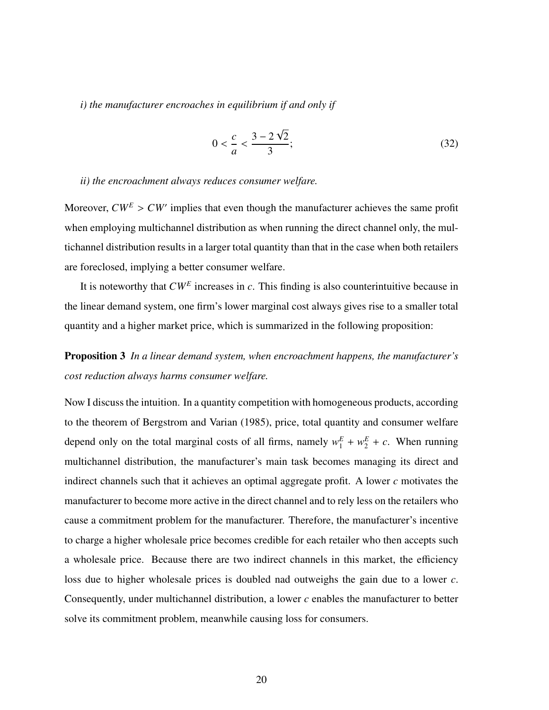*i) the manufacturer encroaches in equilibrium if and only if*

$$
0 < \frac{c}{a} < \frac{3 - 2\sqrt{2}}{3};\tag{32}
$$

#### *ii) the encroachment always reduces consumer welfare.*

Moreover,  $CW^E > CW'$  implies that even though the manufacturer achieves the same profit when employing multichannel distribution as when running the direct channel only, the multichannel distribution results in a larger total quantity than that in the case when both retailers are foreclosed, implying a better consumer welfare.

It is noteworthy that *CW<sup>E</sup>* increases in *c*. This finding is also counterintuitive because in the linear demand system, one firm's lower marginal cost always gives rise to a smaller total quantity and a higher market price, which is summarized in the following proposition:

Proposition 3 *In a linear demand system, when encroachment happens, the manufacturer's cost reduction always harms consumer welfare.*

Now I discuss the intuition. In a quantity competition with homogeneous products, according to the theorem of Bergstrom and Varian (1985), price, total quantity and consumer welfare depend only on the total marginal costs of all firms, namely  $w_1^E + w_2^E + c$ . When running multichannel distribution, the manufacturer's main task becomes managing its direct and indirect channels such that it achieves an optimal aggregate profit. A lower *c* motivates the manufacturer to become more active in the direct channel and to rely less on the retailers who cause a commitment problem for the manufacturer. Therefore, the manufacturer's incentive to charge a higher wholesale price becomes credible for each retailer who then accepts such a wholesale price. Because there are two indirect channels in this market, the efficiency loss due to higher wholesale prices is doubled nad outweighs the gain due to a lower *c*. Consequently, under multichannel distribution, a lower *c* enables the manufacturer to better solve its commitment problem, meanwhile causing loss for consumers.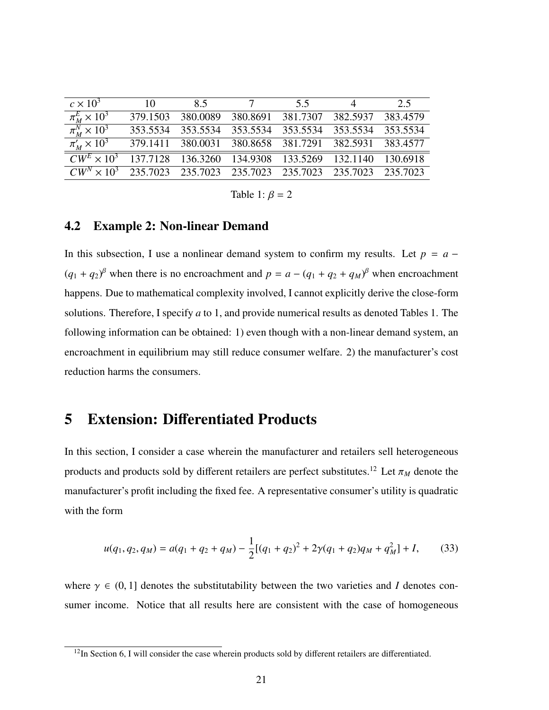| $c \times 10^3$                                                                     | $\overline{10}$                                       | 8.5                                                   | $\overline{7}$ | 55 | 4 | 2.5 |
|-------------------------------------------------------------------------------------|-------------------------------------------------------|-------------------------------------------------------|----------------|----|---|-----|
| $\pi_M^E \times 10^3$                                                               | 379.1503                                              | 380.0089 380.8691 381.7307 382.5937 383.4579          |                |    |   |     |
| $\pi_M^N \times 10^3$                                                               |                                                       | 353.5534 353.5534 353.5534 353.5534 353.5534 353.5534 |                |    |   |     |
| $\pi'_M \times 10^3$                                                                | 379.1411 380.0031 380.8658 381.7291 382.5931 383.4577 |                                                       |                |    |   |     |
| $\overline{CW^E \times 10^3}$ 137.7128 136.3260 134.9308 133.5269 132.1140 130.6918 |                                                       |                                                       |                |    |   |     |
| $CW^N \times 10^3$ 235.7023 235.7023 235.7023 235.7023 235.7023 235.7023            |                                                       |                                                       |                |    |   |     |

Table 1:  $\beta = 2$ 

### 4.2 Example 2: Non-linear Demand

In this subsection, I use a nonlinear demand system to confirm my results. Let  $p = a (q_1 + q_2)$ <sup>β</sup> when there is no encroachment and  $p = a - (q_1 + q_2 + q_M)$ <sup>β</sup> when encroachment happens. Due to mathematical complexity involved, I cannot explicitly derive the close-form solutions. Therefore, I specify *a* to 1, and provide numerical results as denoted Tables 1. The following information can be obtained: 1) even though with a non-linear demand system, an encroachment in equilibrium may still reduce consumer welfare. 2) the manufacturer's cost reduction harms the consumers.

# 5 Extension: Differentiated Products

In this section, I consider a case wherein the manufacturer and retailers sell heterogeneous products and products sold by different retailers are perfect substitutes.<sup>12</sup> Let  $\pi_M$  denote the manufacturer's profit including the fixed fee. A representative consumer's utility is quadratic with the form

$$
u(q_1, q_2, q_M) = a(q_1 + q_2 + q_M) - \frac{1}{2} [(q_1 + q_2)^2 + 2\gamma (q_1 + q_2) q_M + q_M^2] + I, \qquad (33)
$$

where  $\gamma \in (0, 1]$  denotes the substitutability between the two varieties and *I* denotes consumer income. Notice that all results here are consistent with the case of homogeneous

<sup>&</sup>lt;sup>12</sup>In Section 6, I will consider the case wherein products sold by different retailers are differentiated.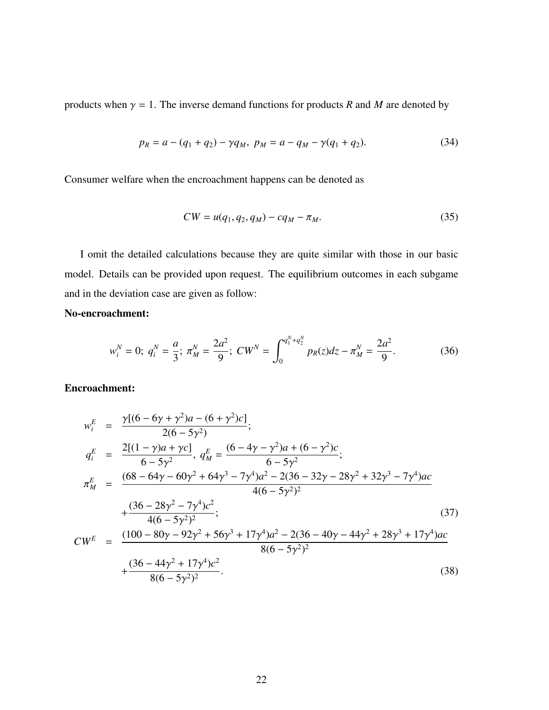products when  $\gamma = 1$ . The inverse demand functions for products *R* and *M* are denoted by

$$
p_R = a - (q_1 + q_2) - \gamma q_M, \ p_M = a - q_M - \gamma (q_1 + q_2). \tag{34}
$$

Consumer welfare when the encroachment happens can be denoted as

$$
CW = u(q_1, q_2, q_M) - cq_M - \pi_M. \tag{35}
$$

I omit the detailed calculations because they are quite similar with those in our basic model. Details can be provided upon request. The equilibrium outcomes in each subgame and in the deviation case are given as follow:

### No-encroachment:

$$
w_i^N = 0; \ q_i^N = \frac{a}{3}; \ \pi_M^N = \frac{2a^2}{9}; \ CW^N = \int_0^{q_1^N + q_2^N} p_R(z) dz - \pi_M^N = \frac{2a^2}{9}.
$$
 (36)

### Encroachment:

$$
w_i^E = \frac{\gamma[(6 - 6\gamma + \gamma^2)a - (6 + \gamma^2)c]}{2(6 - 5\gamma^2)};
$$
  
\n
$$
q_i^E = \frac{2[(1 - \gamma)a + \gamma c]}{6 - 5\gamma^2}, q_M^E = \frac{(6 - 4\gamma - \gamma^2)a + (6 - \gamma^2)c}{6 - 5\gamma^2};
$$
  
\n
$$
\pi_M^E = \frac{(68 - 64\gamma - 60\gamma^2 + 64\gamma^3 - 7\gamma^4)a^2 - 2(36 - 32\gamma - 28\gamma^2 + 32\gamma^3 - 7\gamma^4)ac}{4(6 - 5\gamma^2)^2}
$$
  
\n
$$
+\frac{(36 - 28\gamma^2 - 7\gamma^4)c^2}{4(6 - 5\gamma^2)^2};
$$
  
\n
$$
CW^E = \frac{(100 - 80\gamma - 92\gamma^2 + 56\gamma^3 + 17\gamma^4)a^2 - 2(36 - 40\gamma - 44\gamma^2 + 28\gamma^3 + 17\gamma^4)ac}{8(6 - 5\gamma^2)^2}
$$
  
\n
$$
+\frac{(36 - 44\gamma^2 + 17\gamma^4)c^2}{8(6 - 5\gamma^2)^2}.
$$
  
\n(38)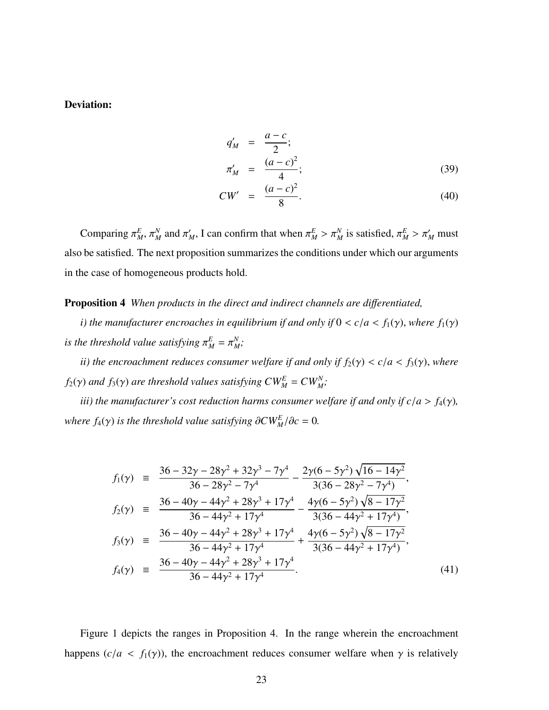### Deviation:

$$
q'_{M} = \frac{a - c}{2};
$$
  
\n
$$
\pi'_{M} = \frac{(a - c)^{2}}{4};
$$
\n(39)

$$
CW' = \frac{(a-c)^2}{8}.
$$
 (40)

Comparing  $\pi_M^E$ ,  $\pi_M^N$ *M* and  $\pi'_M$ , I can confirm that when  $\pi^E_M > \pi^N_M$  is satisfied,  $\pi^E_M > \pi'_M$  must also be satisfied. The next proposition summarizes the conditions under which our arguments in the case of homogeneous products hold.

Proposition 4 *When products in the direct and indirect channels are di*ff*erentiated,*

*i*) the manufacturer encroaches in equilibrium if and only if  $0 < c/a < f_1(\gamma)$ , where  $f_1(\gamma)$ *is the threshold value satisfying*  $\pi_M^E = \pi_M^N$ *M ;*

*ii)* the encroachment reduces consumer welfare if and only if  $f_2(\gamma) < c/a < f_3(\gamma)$ , where *f*<sub>2</sub>( $\gamma$ ) *and f*<sub>3</sub>( $\gamma$ ) *are threshold values satisfying*  $CW_M^E = CW_M^N$ ;

*iii) the manufacturer's cost reduction harms consumer welfare if and only if*  $c/a > f_4(y)$ , *where*  $f_4(\gamma)$  *is the threshold value satisfying*  $\partial CW_M^E / \partial c = 0$ *.* 

$$
f_1(\gamma) = \frac{36 - 32\gamma - 28\gamma^2 + 32\gamma^3 - 7\gamma^4}{36 - 28\gamma^2 - 7\gamma^4} - \frac{2\gamma(6 - 5\gamma^2)\sqrt{16 - 14\gamma^2}}{3(36 - 28\gamma^2 - 7\gamma^4)},
$$
  
\n
$$
f_2(\gamma) = \frac{36 - 40\gamma - 44\gamma^2 + 28\gamma^3 + 17\gamma^4}{36 - 44\gamma^2 + 17\gamma^4} - \frac{4\gamma(6 - 5\gamma^2)\sqrt{8 - 17\gamma^2}}{3(36 - 44\gamma^2 + 17\gamma^4)},
$$
  
\n
$$
f_3(\gamma) = \frac{36 - 40\gamma - 44\gamma^2 + 28\gamma^3 + 17\gamma^4}{36 - 44\gamma^2 + 17\gamma^4} + \frac{4\gamma(6 - 5\gamma^2)\sqrt{8 - 17\gamma^2}}{3(36 - 44\gamma^2 + 17\gamma^4)},
$$
  
\n
$$
f_4(\gamma) = \frac{36 - 40\gamma - 44\gamma^2 + 28\gamma^3 + 17\gamma^4}{36 - 44\gamma^2 + 17\gamma^4}.
$$
  
\n(41)

Figure 1 depicts the ranges in Proposition 4. In the range wherein the encroachment happens ( $c/a < f_1(\gamma)$ ), the encroachment reduces consumer welfare when  $\gamma$  is relatively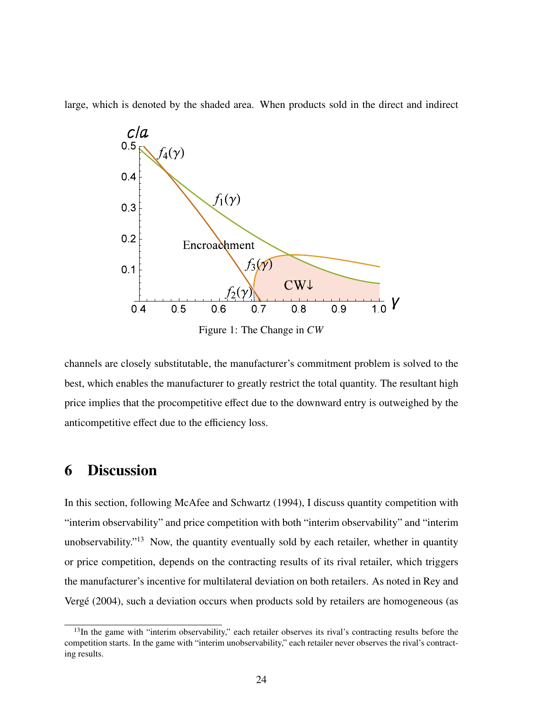large, which is denoted by the shaded area. When products sold in the direct and indirect



Figure 1: The Change in *CW*

channels are closely substitutable, the manufacturer's commitment problem is solved to the best, which enables the manufacturer to greatly restrict the total quantity. The resultant high price implies that the procompetitive effect due to the downward entry is outweighed by the anticompetitive effect due to the efficiency loss.

# 6 Discussion

In this section, following McAfee and Schwartz (1994), I discuss quantity competition with "interim observability" and price competition with both "interim observability" and "interim unobservability."<sup>13</sup> Now, the quantity eventually sold by each retailer, whether in quantity or price competition, depends on the contracting results of its rival retailer, which triggers the manufacturer's incentive for multilateral deviation on both retailers. As noted in Rey and Vergé (2004), such a deviation occurs when products sold by retailers are homogeneous (as

<sup>&</sup>lt;sup>13</sup>In the game with "interim observability," each retailer observes its rival's contracting results before the competition starts. In the game with "interim unobservability," each retailer never observes the rival's contracting results.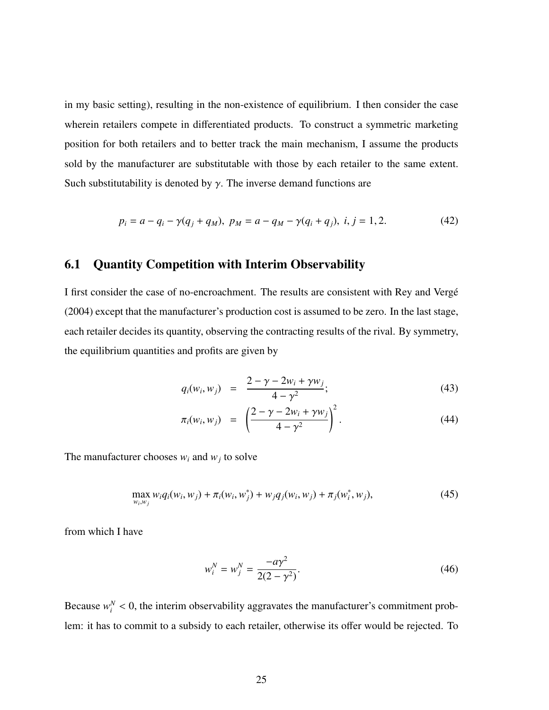in my basic setting), resulting in the non-existence of equilibrium. I then consider the case wherein retailers compete in differentiated products. To construct a symmetric marketing position for both retailers and to better track the main mechanism, I assume the products sold by the manufacturer are substitutable with those by each retailer to the same extent. Such substitutability is denoted by  $\gamma$ . The inverse demand functions are

$$
p_i = a - q_i - \gamma(q_j + q_M), \ p_M = a - q_M - \gamma(q_i + q_j), \ i, j = 1, 2. \tag{42}
$$

### 6.1 Quantity Competition with Interim Observability

I first consider the case of no-encroachment. The results are consistent with Rey and Verge´ (2004) except that the manufacturer's production cost is assumed to be zero. In the last stage, each retailer decides its quantity, observing the contracting results of the rival. By symmetry, the equilibrium quantities and profits are given by

$$
q_i(w_i, w_j) = \frac{2 - \gamma - 2w_i + \gamma w_j}{4 - \gamma^2};
$$
\n(43)

$$
\pi_i(w_i, w_j) = \left(\frac{2 - \gamma - 2w_i + \gamma w_j}{4 - \gamma^2}\right)^2.
$$
\n(44)

The manufacturer chooses  $w_i$  and  $w_j$  to solve

$$
\max_{w_i, w_j} w_i q_i(w_i, w_j) + \pi_i(w_i, w_j^*) + w_j q_j(w_i, w_j) + \pi_j(w_i^*, w_j),
$$
\n(45)

from which I have

$$
w_i^N = w_j^N = \frac{-a\gamma^2}{2(2-\gamma^2)}.
$$
\n(46)

Because  $w_i^N < 0$ , the interim observability aggravates the manufacturer's commitment problem: it has to commit to a subsidy to each retailer, otherwise its offer would be rejected. To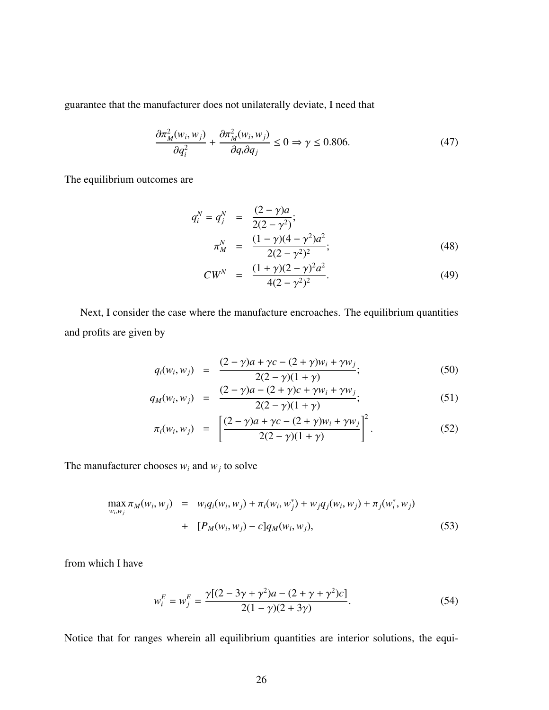guarantee that the manufacturer does not unilaterally deviate, I need that

$$
\frac{\partial \pi_M^2(w_i, w_j)}{\partial q_i^2} + \frac{\partial \pi_M^2(w_i, w_j)}{\partial q_i \partial q_j} \le 0 \Rightarrow \gamma \le 0.806. \tag{47}
$$

The equilibrium outcomes are

$$
q_i^N = q_j^N = \frac{(2 - \gamma)a}{2(2 - \gamma^2)};
$$
  
\n
$$
\pi_M^N = \frac{(1 - \gamma)(4 - \gamma^2)a^2}{2(2 - \gamma^2)^2};
$$
\n(48)

$$
CW^N = \frac{(1+\gamma)(2-\gamma)^2 a^2}{4(2-\gamma^2)^2}.
$$
 (49)

Next, I consider the case where the manufacture encroaches. The equilibrium quantities and profits are given by

$$
q_i(w_i, w_j) = \frac{(2 - \gamma)a + \gamma c - (2 + \gamma)w_i + \gamma w_j}{2(2 - \gamma)(1 + \gamma)};
$$
\n(50)

$$
q_M(w_i, w_j) = \frac{(2 - \gamma)a - (2 + \gamma)c + \gamma w_i + \gamma w_j}{2(2 - \gamma)(1 + \gamma)};
$$
\n(51)

$$
\pi_i(w_i, w_j) = \left[ \frac{(2 - \gamma)a + \gamma c - (2 + \gamma)w_i + \gamma w_j}{2(2 - \gamma)(1 + \gamma)} \right]^2.
$$
\n(52)

The manufacturer chooses  $w_i$  and  $w_j$  to solve

$$
\max_{w_i, w_j} \pi_M(w_i, w_j) = w_i q_i(w_i, w_j) + \pi_i(w_i, w_j^*) + w_j q_j(w_i, w_j) + \pi_j(w_i^*, w_j)
$$
  
+ 
$$
[P_M(w_i, w_j) - c] q_M(w_i, w_j),
$$
 (53)

from which I have

$$
w_i^E = w_j^E = \frac{\gamma[(2 - 3\gamma + \gamma^2)a - (2 + \gamma + \gamma^2)c]}{2(1 - \gamma)(2 + 3\gamma)}.
$$
\n(54)

Notice that for ranges wherein all equilibrium quantities are interior solutions, the equi-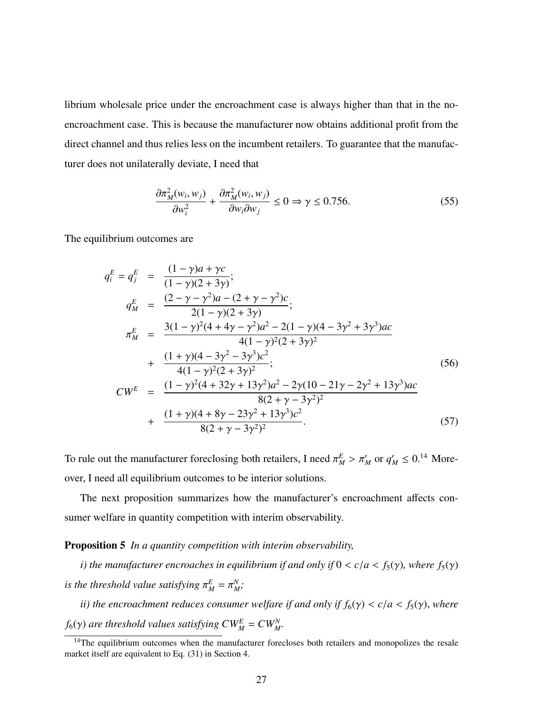librium wholesale price under the encroachment case is always higher than that in the noencroachment case. This is because the manufacturer now obtains additional profit from the direct channel and thus relies less on the incumbent retailers. To guarantee that the manufacturer does not unilaterally deviate, I need that

$$
\frac{\partial \pi_M^2(w_i, w_j)}{\partial w_i^2} + \frac{\partial \pi_M^2(w_i, w_j)}{\partial w_i \partial w_j} \le 0 \Rightarrow \gamma \le 0.756. \tag{55}
$$

The equilibrium outcomes are

$$
q_i^E = q_j^E = \frac{(1 - \gamma)a + \gamma c}{(1 - \gamma)(2 + 3\gamma)};
$$
  
\n
$$
q_M^E = \frac{(2 - \gamma - \gamma^2)a - (2 + \gamma - \gamma^2)c}{2(1 - \gamma)(2 + 3\gamma)};
$$
  
\n
$$
\pi_M^E = \frac{3(1 - \gamma)^2(4 + 4\gamma - \gamma^2)a^2 - 2(1 - \gamma)(4 - 3\gamma^2 + 3\gamma^3)ac}{4(1 - \gamma)^2(2 + 3\gamma)^2}
$$
  
\n+ 
$$
\frac{(1 + \gamma)(4 - 3\gamma^2 - 3\gamma^3)c^2}{4(1 - \gamma)^2(2 + 3\gamma)^2};
$$
  
\n
$$
CW^E = \frac{(1 - \gamma)^2(4 + 32\gamma + 13\gamma^2)a^2 - 2\gamma(10 - 21\gamma - 2\gamma^2 + 13\gamma^3)ac}{8(2 + \gamma - 3\gamma^2)^2}
$$
  
\n+ 
$$
\frac{(1 + \gamma)(4 + 8\gamma - 23\gamma^2 + 13\gamma^3)c^2}{8(2 + \gamma - 3\gamma^2)^2}.
$$
\n(57)

To rule out the manufacturer foreclosing both retailers, I need  $\pi_M^E > \pi_M'$  or  $q_M' \le 0$ .<sup>14</sup> Moreover, I need all equilibrium outcomes to be interior solutions.

The next proposition summarizes how the manufacturer's encroachment affects consumer welfare in quantity competition with interim observability.

Proposition 5 *In a quantity competition with interim observability,*

*i*) the manufacturer encroaches in equilibrium if and only if  $0 < c/a < f_5(\gamma)$ , where  $f_5(\gamma)$  $i$ *s the threshold value satisfying*  $\pi^E_M = \pi^N_M$ *M ;*

*ii)* the encroachment reduces consumer welfare if and only if  $f_6(\gamma) < c/a < f_5(\gamma)$ , where *f*<sub>6</sub>( $\gamma$ ) are threshold values satisfying  $CW_M^E = CW_M^N$ .

<sup>&</sup>lt;sup>14</sup>The equilibrium outcomes when the manufacturer forecloses both retailers and monopolizes the resale market itself are equivalent to Eq. (31) in Section 4.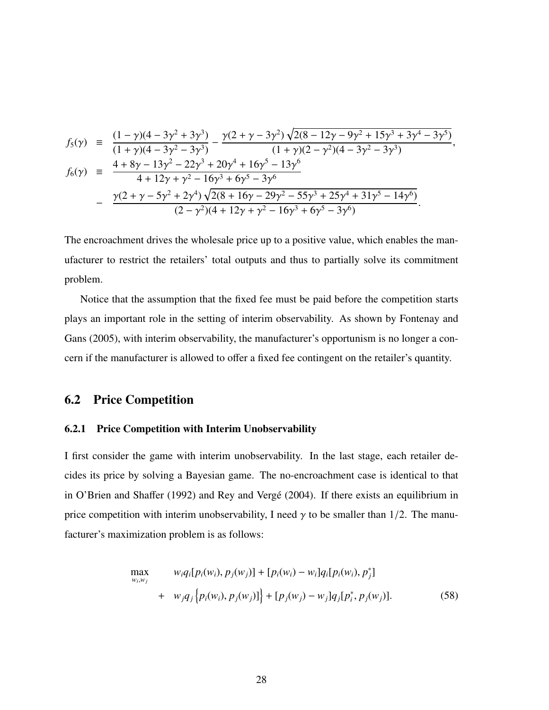$$
f_5(\gamma) = \frac{(1-\gamma)(4-3\gamma^2+3\gamma^3)}{(1+\gamma)(4-3\gamma^2-3\gamma^3)} - \frac{\gamma(2+\gamma-3\gamma^2)\sqrt{2(8-12\gamma-9\gamma^2+15\gamma^3+3\gamma^4-3\gamma^5)}}{(1+\gamma)(2-\gamma^2)(4-3\gamma^2-3\gamma^3)},
$$
  
\n
$$
f_6(\gamma) = \frac{4+8\gamma-13\gamma^2-22\gamma^3+20\gamma^4+16\gamma^5-13\gamma^6}{4+12\gamma+\gamma^2-16\gamma^3+6\gamma^5-3\gamma^6}
$$
  
\n
$$
-\frac{\gamma(2+\gamma-5\gamma^2+2\gamma^4)\sqrt{2(8+16\gamma-29\gamma^2-55\gamma^3+25\gamma^4+31\gamma^5-14\gamma^6)}}{(2-\gamma^2)(4+12\gamma+\gamma^2-16\gamma^3+6\gamma^5-3\gamma^6)}.
$$

The encroachment drives the wholesale price up to a positive value, which enables the manufacturer to restrict the retailers' total outputs and thus to partially solve its commitment problem.

Notice that the assumption that the fixed fee must be paid before the competition starts plays an important role in the setting of interim observability. As shown by Fontenay and Gans (2005), with interim observability, the manufacturer's opportunism is no longer a concern if the manufacturer is allowed to offer a fixed fee contingent on the retailer's quantity.

### 6.2 Price Competition

#### 6.2.1 Price Competition with Interim Unobservability

I first consider the game with interim unobservability. In the last stage, each retailer decides its price by solving a Bayesian game. The no-encroachment case is identical to that in O'Brien and Shaffer (1992) and Rey and Vergé (2004). If there exists an equilibrium in price competition with interim unobservability, I need  $\gamma$  to be smaller than 1/2. The manufacturer's maximization problem is as follows:

$$
\max_{w_i, w_j} \qquad w_i q_i [p_i(w_i), p_j(w_j)] + [p_i(w_i) - w_i] q_i [p_i(w_i), p_j^*] + \qquad w_j q_j \{p_i(w_i), p_j(w_j)]\} + [p_j(w_j) - w_j] q_j [p_i^*, p_j(w_j)]. \qquad (58)
$$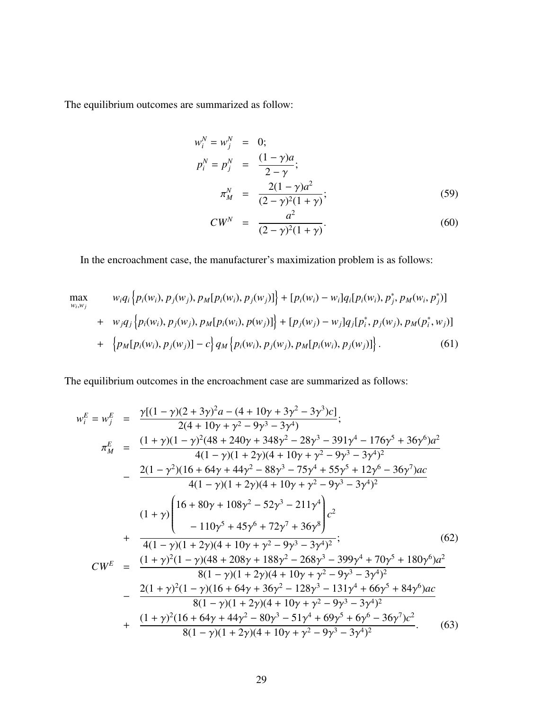The equilibrium outcomes are summarized as follow:

$$
w_i^N = w_j^N = 0; \np_i^N = p_j^N = \frac{(1 - \gamma)a}{2 - \gamma}; \n\pi_M^N = \frac{2(1 - \gamma)a^2}{(2 - \gamma)^2(1 + \gamma)}; \tag{59}
$$

$$
CW^N = \frac{a^2}{(2-\gamma)^2(1+\gamma)}.
$$
 (60)

In the encroachment case, the manufacturer's maximization problem is as follows:

$$
\max_{w_i, w_j} \qquad w_i q_i \{ p_i(w_i), p_j(w_j), p_M[p_i(w_i), p_j(w_j)] \} + [p_i(w_i) - w_i] q_i [p_i(w_i), p_j^*, p_M(w_i, p_j^*)]
$$
\n
$$
+ w_j q_j \{ p_i(w_i), p_j(w_j), p_M[p_i(w_i), p(w_j)] \} + [p_j(w_j) - w_j] q_j [p_i^*, p_j(w_j), p_M(p_i^*, w_j)]
$$
\n
$$
+ \{ p_M[p_i(w_i), p_j(w_j)] - c \} q_M \{ p_i(w_i), p_j(w_j), p_M[p_i(w_i), p_j(w_j)] \}. \qquad (61)
$$

The equilibrium outcomes in the encroachment case are summarized as follows:

$$
w_i^E = w_j^E = \frac{\gamma[(1-\gamma)(2+3\gamma)^2a - (4+10\gamma + 3\gamma^2 - 3\gamma^3)c]}{2(4+10\gamma + \gamma^2 - 9\gamma^3 - 3\gamma^4)},
$$
  
\n
$$
\pi_M^E = \frac{(1+\gamma)(1-\gamma)^2(48+240\gamma + 348\gamma^2 - 28\gamma^3 - 391\gamma^4 - 176\gamma^5 + 36\gamma^6)a^2}{4(1-\gamma)(1+2\gamma)(4+10\gamma + \gamma^2 - 9\gamma^3 - 3\gamma^4)^2}
$$
  
\n
$$
-\frac{2(1-\gamma^2)(16+64\gamma + 44\gamma^2 - 88\gamma^3 - 75\gamma^4 + 55\gamma^5 + 12\gamma^6 - 36\gamma^7)ac}{4(1-\gamma)(1+2\gamma)(4+10\gamma + \gamma^2 - 9\gamma^3 - 3\gamma^4)^2}
$$
  
\n
$$
+\frac{(1+\gamma)\left(16+80\gamma + 108\gamma^2 - 52\gamma^3 - 211\gamma^4\right)c^2}{4(1-\gamma)(1+2\gamma)(4+10\gamma + \gamma^2 - 9\gamma^3 - 3\gamma^4)^2};\right. (62)
$$
  
\n
$$
CW^E = \frac{(1+\gamma)^2(1-\gamma)(48+208\gamma + 188\gamma^2 - 268\gamma^3 - 399\gamma^4 + 70\gamma^5 + 180\gamma^6)a^2}{8(1-\gamma)(1+2\gamma)(4+10\gamma + \gamma^2 - 9\gamma^3 - 3\gamma^4)^2}
$$
  
\n
$$
-\frac{2(1+\gamma)^2(1-\gamma)(16+64\gamma + 36\gamma^2 - 128\gamma^3 - 131\gamma^4 + 66\gamma^5 + 84\gamma^6)ac}{8(1-\gamma)(1+2\gamma)(4+10\gamma + \gamma^2 - 9\gamma^3 - 3\gamma^4)^2}
$$
  
\n+ 
$$
\frac{(1+\gamma)^2(16+64\gamma + 44\gamma^2 - 80\gamma^3 - 51\gamma^4 + 69\gamma^5 + 6\gamma^6 - 36\gamma^7)c^2}{8(1-\gamma)(1+
$$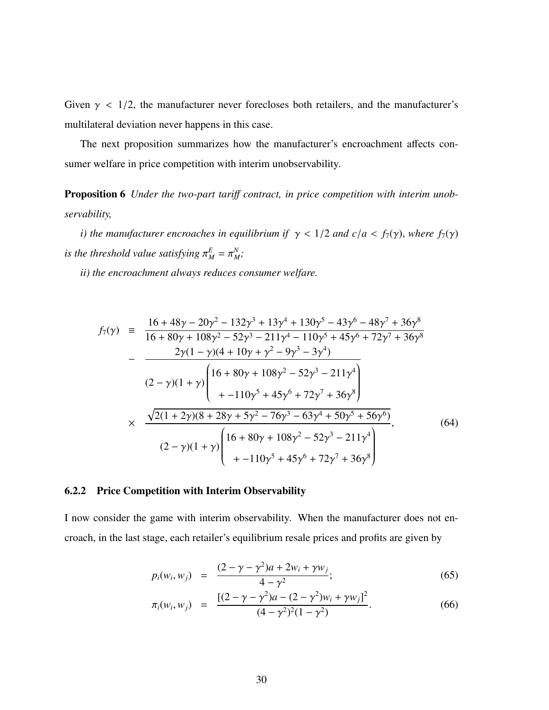Given  $\gamma$  < 1/2, the manufacturer never forecloses both retailers, and the manufacturer's multilateral deviation never happens in this case.

The next proposition summarizes how the manufacturer's encroachment affects consumer welfare in price competition with interim unobservability.

Proposition 6 *Under the two-part tari*ff *contract, in price competition with interim unobservability,*

*i*) the manufacturer encroaches in equilibrium if  $\gamma$  < 1/2 and c/*a* < *f*<sub>7</sub>( $\gamma$ ), where *f*<sub>7</sub>( $\gamma$ )  $i$ *s the threshold value satisfying*  $\pi^E_M = \pi^N_M$ *M ;*

*ii) the encroachment always reduces consumer welfare.*

$$
f_{7}(\gamma) = \frac{16 + 48\gamma - 20\gamma^{2} - 132\gamma^{3} + 13\gamma^{4} + 130\gamma^{5} - 43\gamma^{6} - 48\gamma^{7} + 36\gamma^{8}}{16 + 80\gamma + 108\gamma^{2} - 52\gamma^{3} - 211\gamma^{4} - 110\gamma^{5} + 45\gamma^{6} + 72\gamma^{7} + 36\gamma^{8}}
$$
  

$$
-\frac{2\gamma(1 - \gamma)(4 + 10\gamma + \gamma^{2} - 9\gamma^{3} - 3\gamma^{4})}{(2 - \gamma)(1 + \gamma)\left(16 + 80\gamma + 108\gamma^{2} - 52\gamma^{3} - 211\gamma^{4}\right) + -110\gamma^{5} + 45\gamma^{6} + 72\gamma^{7} + 36\gamma^{8}\right)}
$$
  

$$
\times \frac{\sqrt{2(1 + 2\gamma)(8 + 28\gamma + 5\gamma^{2} - 76\gamma^{3} - 63\gamma^{4} + 50\gamma^{5} + 56\gamma^{6})}}{(2 - \gamma)(1 + \gamma)\left(16 + 80\gamma + 108\gamma^{2} - 52\gamma^{3} - 211\gamma^{4}\right) + -110\gamma^{5} + 45\gamma^{6} + 72\gamma^{7} + 36\gamma^{8}}\right)
$$
(64)

#### 6.2.2 Price Competition with Interim Observability

I now consider the game with interim observability. When the manufacturer does not encroach, in the last stage, each retailer's equilibrium resale prices and profits are given by

$$
p_i(w_i, w_j) = \frac{(2 - \gamma - \gamma^2)a + 2w_i + \gamma w_j}{4 - \gamma^2};
$$
\n(65)

$$
\pi_i(w_i, w_j) = \frac{[(2-\gamma-\gamma^2)a - (2-\gamma^2)w_i + \gamma w_j]^2}{(4-\gamma^2)^2(1-\gamma^2)}.
$$
\n(66)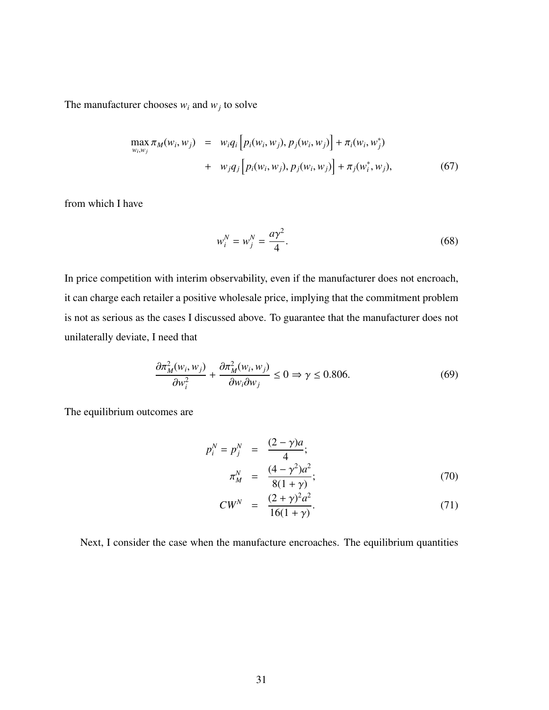The manufacturer chooses  $w_i$  and  $w_j$  to solve

$$
\max_{w_i, w_j} \pi_M(w_i, w_j) = w_i q_i \Big[ p_i(w_i, w_j), p_j(w_i, w_j) \Big] + \pi_i(w_i, w_j^*) + w_j q_j \Big[ p_i(w_i, w_j), p_j(w_i, w_j) \Big] + \pi_j(w_i^*, w_j),
$$
(67)

from which I have

$$
w_i^N = w_j^N = \frac{a\gamma^2}{4}.
$$
\n(68)

In price competition with interim observability, even if the manufacturer does not encroach, it can charge each retailer a positive wholesale price, implying that the commitment problem is not as serious as the cases I discussed above. To guarantee that the manufacturer does not unilaterally deviate, I need that

$$
\frac{\partial \pi_M^2(w_i, w_j)}{\partial w_i^2} + \frac{\partial \pi_M^2(w_i, w_j)}{\partial w_i \partial w_j} \le 0 \Rightarrow \gamma \le 0.806. \tag{69}
$$

The equilibrium outcomes are

$$
p_i^N = p_j^N = \frac{(2 - \gamma)a}{4};
$$
  
\n
$$
\pi_M^N = \frac{(4 - \gamma^2)a^2}{8(1 + \gamma)};
$$
\n(70)

$$
CW^N = \frac{(2+\gamma)^2 a^2}{16(1+\gamma)}.
$$
 (71)

Next, I consider the case when the manufacture encroaches. The equilibrium quantities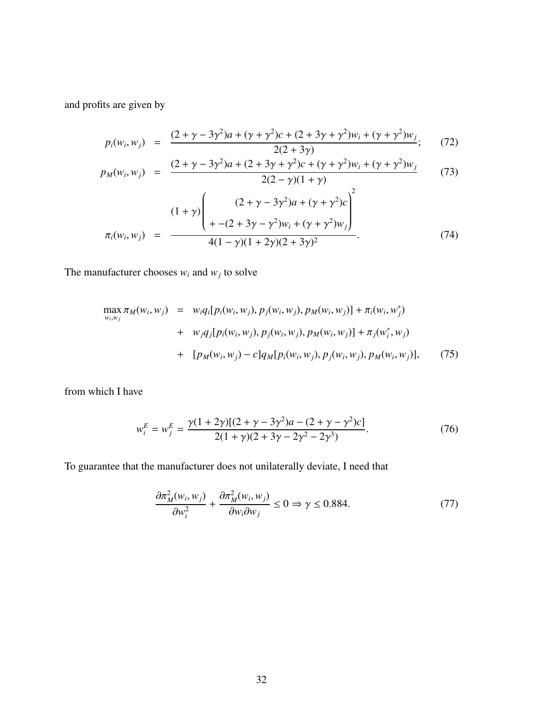and profits are given by

$$
p_i(w_i, w_j) = \frac{(2 + \gamma - 3\gamma^2)a + (\gamma + \gamma^2)c + (2 + 3\gamma + \gamma^2)w_i + (\gamma + \gamma^2)w_j}{2(2 + 3\gamma)};
$$
 (72)

$$
p_M(w_i, w_j) = \frac{(2 + \gamma - 3\gamma^2)a + (2 + 3\gamma + \gamma^2)c + (\gamma + \gamma^2)w_i + (\gamma + \gamma^2)w_j}{2(2 - \gamma)(1 + \gamma)}
$$
(73)

$$
\pi_i(w_i, w_j) = \frac{(1+\gamma)\left( \frac{(2+\gamma-3\gamma^2)a + (\gamma+\gamma^2)c}{+-(2+3\gamma-\gamma^2)w_i + (\gamma+\gamma^2)w_j} \right)^2}{4(1-\gamma)(1+2\gamma)(2+3\gamma)^2}.
$$
\n(74)

The manufacturer chooses  $w_i$  and  $w_j$  to solve

$$
\max_{w_i, w_j} \pi_M(w_i, w_j) = w_i q_i [p_i(w_i, w_j), p_j(w_i, w_j), p_M(w_i, w_j)] + \pi_i(w_i, w_j^*)
$$
  
+ 
$$
w_j q_j [p_i(w_i, w_j), p_j(w_i, w_j), p_M(w_i, w_j)] + \pi_j(w_i^*, w_j)
$$
  
+ 
$$
[p_M(w_i, w_j) - c] q_M [p_i(w_i, w_j), p_j(w_i, w_j), p_M(w_i, w_j)],
$$
 (75)

from which I have

$$
w_i^E = w_j^E = \frac{\gamma (1 + 2\gamma)[(2 + \gamma - 3\gamma^2)a - (2 + \gamma - \gamma^2)c]}{2(1 + \gamma)(2 + 3\gamma - 2\gamma^2 - 2\gamma^3)}.
$$
 (76)

To guarantee that the manufacturer does not unilaterally deviate, I need that

$$
\frac{\partial \pi_M^2(w_i, w_j)}{\partial w_i^2} + \frac{\partial \pi_M^2(w_i, w_j)}{\partial w_i \partial w_j} \le 0 \Rightarrow \gamma \le 0.884. \tag{77}
$$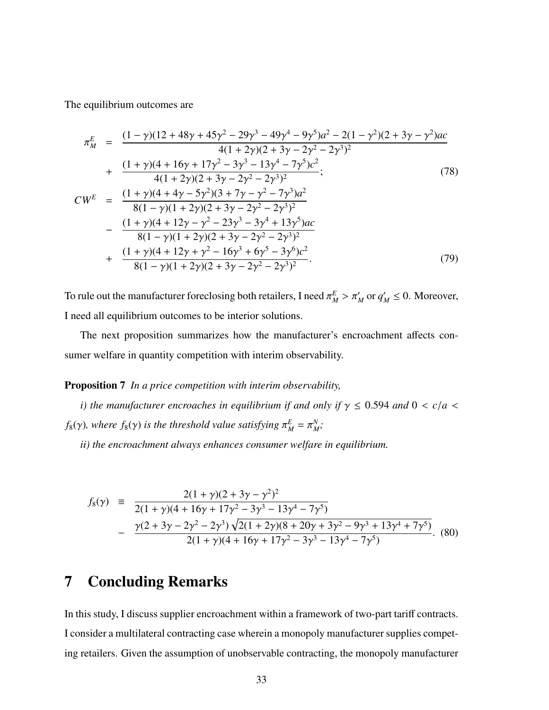The equilibrium outcomes are

$$
\pi_M^E = \frac{(1-\gamma)(12+48\gamma+45\gamma^2-29\gamma^3-49\gamma^4-9\gamma^5)a^2-2(1-\gamma^2)(2+3\gamma-\gamma^2)ac}{4(1+2\gamma)(2+3\gamma-2\gamma^2-2\gamma^3)^2} \n+ \frac{(1+\gamma)(4+16\gamma+17\gamma^2-3\gamma^3-13\gamma^4-7\gamma^5)c^2}{4(1+2\gamma)(2+3\gamma-2\gamma^2-2\gamma^3)^2};
$$
\n(78)  
\n
$$
CW^E = \frac{(1+\gamma)(4+4\gamma-5\gamma^2)(3+7\gamma-\gamma^2-7\gamma^3)a^2}{8(1-\gamma)(1+2\gamma)(2+3\gamma-2\gamma^2-2\gamma^3)^2} \n- \frac{(1+\gamma)(4+12\gamma-\gamma^2-23\gamma^3-3\gamma^4+13\gamma^5)ac}{8(1-\gamma)(1+2\gamma)(2+3\gamma-2\gamma^2-2\gamma^3)^2} \n+ \frac{(1+\gamma)(4+12\gamma+\gamma^2-16\gamma^3+6\gamma^5-3\gamma^6)c^2}{8(1-\gamma)(1+2\gamma)(2+3\gamma-2\gamma^2-2\gamma^3)^2}.
$$
\n(79)

To rule out the manufacturer foreclosing both retailers, I need  $\pi_M^E > \pi_M'$  or  $q_M' \le 0$ . Moreover, I need all equilibrium outcomes to be interior solutions.

The next proposition summarizes how the manufacturer's encroachment affects consumer welfare in quantity competition with interim observability.

#### Proposition 7 *In a price competition with interim observability,*

*i*) the manufacturer encroaches in equilibrium if and only if  $\gamma \leq 0.594$  and  $0 < c/a$  $f_8(\gamma)$ , where  $f_8(\gamma)$  is the threshold value satisfying  $\pi_M^E = \pi_M^N$ *M ;*

*ii) the encroachment always enhances consumer welfare in equilibrium.*

$$
f_8(\gamma) = \frac{2(1+\gamma)(2+3\gamma-\gamma^2)^2}{2(1+\gamma)(4+16\gamma+17\gamma^2-3\gamma^3-13\gamma^4-7\gamma^5)}
$$
  
 
$$
-\frac{\gamma(2+3\gamma-2\gamma^2-2\gamma^3)\sqrt{2(1+2\gamma)(8+20\gamma+3\gamma^2-9\gamma^3+13\gamma^4+7\gamma^5)}}{2(1+\gamma)(4+16\gamma+17\gamma^2-3\gamma^3-13\gamma^4-7\gamma^5)}.
$$
 (80)

# 7 Concluding Remarks

In this study, I discuss supplier encroachment within a framework of two-part tariff contracts. I consider a multilateral contracting case wherein a monopoly manufacturer supplies competing retailers. Given the assumption of unobservable contracting, the monopoly manufacturer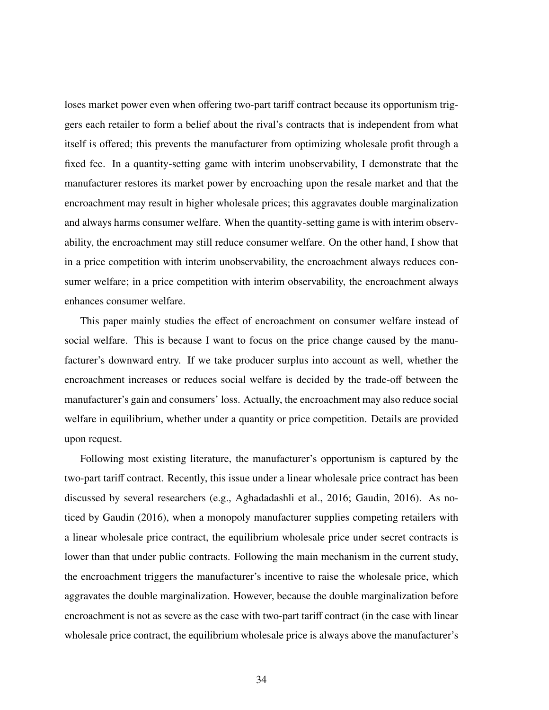loses market power even when offering two-part tariff contract because its opportunism triggers each retailer to form a belief about the rival's contracts that is independent from what itself is offered; this prevents the manufacturer from optimizing wholesale profit through a fixed fee. In a quantity-setting game with interim unobservability, I demonstrate that the manufacturer restores its market power by encroaching upon the resale market and that the encroachment may result in higher wholesale prices; this aggravates double marginalization and always harms consumer welfare. When the quantity-setting game is with interim observability, the encroachment may still reduce consumer welfare. On the other hand, I show that in a price competition with interim unobservability, the encroachment always reduces consumer welfare; in a price competition with interim observability, the encroachment always enhances consumer welfare.

This paper mainly studies the effect of encroachment on consumer welfare instead of social welfare. This is because I want to focus on the price change caused by the manufacturer's downward entry. If we take producer surplus into account as well, whether the encroachment increases or reduces social welfare is decided by the trade-off between the manufacturer's gain and consumers' loss. Actually, the encroachment may also reduce social welfare in equilibrium, whether under a quantity or price competition. Details are provided upon request.

Following most existing literature, the manufacturer's opportunism is captured by the two-part tariff contract. Recently, this issue under a linear wholesale price contract has been discussed by several researchers (e.g., Aghadadashli et al., 2016; Gaudin, 2016). As noticed by Gaudin (2016), when a monopoly manufacturer supplies competing retailers with a linear wholesale price contract, the equilibrium wholesale price under secret contracts is lower than that under public contracts. Following the main mechanism in the current study, the encroachment triggers the manufacturer's incentive to raise the wholesale price, which aggravates the double marginalization. However, because the double marginalization before encroachment is not as severe as the case with two-part tariff contract (in the case with linear wholesale price contract, the equilibrium wholesale price is always above the manufacturer's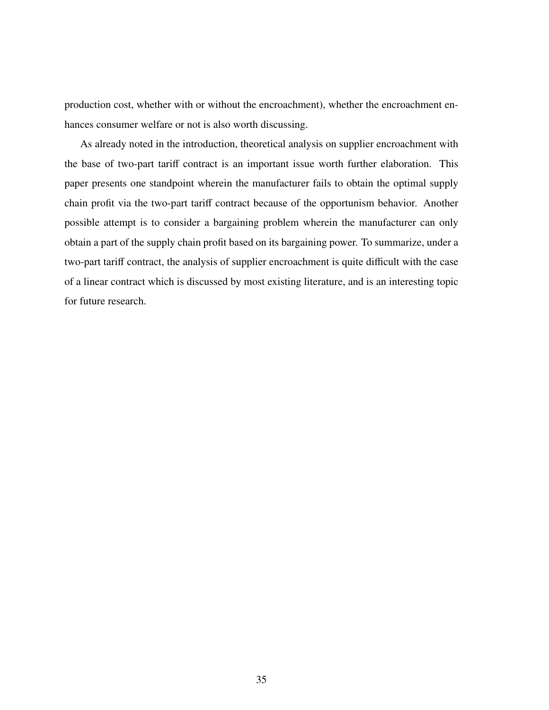production cost, whether with or without the encroachment), whether the encroachment enhances consumer welfare or not is also worth discussing.

As already noted in the introduction, theoretical analysis on supplier encroachment with the base of two-part tariff contract is an important issue worth further elaboration. This paper presents one standpoint wherein the manufacturer fails to obtain the optimal supply chain profit via the two-part tariff contract because of the opportunism behavior. Another possible attempt is to consider a bargaining problem wherein the manufacturer can only obtain a part of the supply chain profit based on its bargaining power. To summarize, under a two-part tariff contract, the analysis of supplier encroachment is quite difficult with the case of a linear contract which is discussed by most existing literature, and is an interesting topic for future research.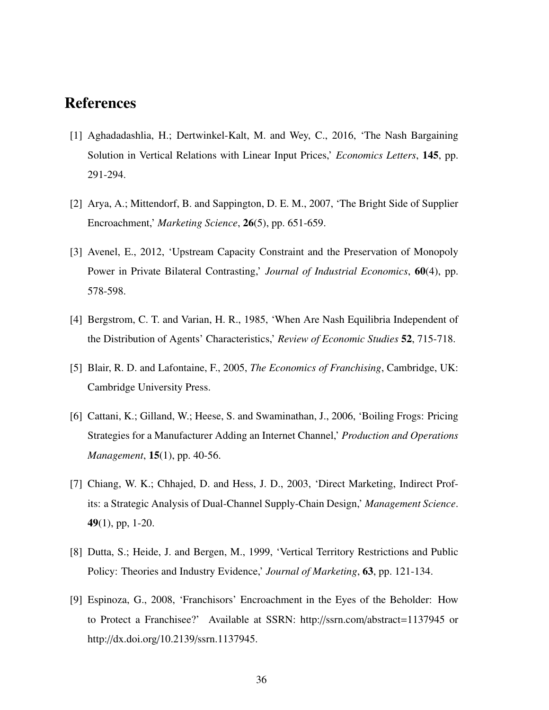## References

- [1] Aghadadashlia, H.; Dertwinkel-Kalt, M. and Wey, C., 2016, 'The Nash Bargaining Solution in Vertical Relations with Linear Input Prices,' *Economics Letters*, 145, pp. 291-294.
- [2] Arya, A.; Mittendorf, B. and Sappington, D. E. M., 2007, 'The Bright Side of Supplier Encroachment,' *Marketing Science*, 26(5), pp. 651-659.
- [3] Avenel, E., 2012, 'Upstream Capacity Constraint and the Preservation of Monopoly Power in Private Bilateral Contrasting,' *Journal of Industrial Economics*, 60(4), pp. 578-598.
- [4] Bergstrom, C. T. and Varian, H. R., 1985, 'When Are Nash Equilibria Independent of the Distribution of Agents' Characteristics,' *Review of Economic Studies* 52, 715-718.
- [5] Blair, R. D. and Lafontaine, F., 2005, *The Economics of Franchising*, Cambridge, UK: Cambridge University Press.
- [6] Cattani, K.; Gilland, W.; Heese, S. and Swaminathan, J., 2006, 'Boiling Frogs: Pricing Strategies for a Manufacturer Adding an Internet Channel,' *Production and Operations Management*, 15(1), pp. 40-56.
- [7] Chiang, W. K.; Chhajed, D. and Hess, J. D., 2003, 'Direct Marketing, Indirect Profits: a Strategic Analysis of Dual-Channel Supply-Chain Design,' *Management Science*. 49(1), pp, 1-20.
- [8] Dutta, S.; Heide, J. and Bergen, M., 1999, 'Vertical Territory Restrictions and Public Policy: Theories and Industry Evidence,' *Journal of Marketing*, 63, pp. 121-134.
- [9] Espinoza, G., 2008, 'Franchisors' Encroachment in the Eyes of the Beholder: How to Protect a Franchisee?' Available at SSRN: http://ssrn.com/abstract=1137945 or http://dx.doi.org/10.2139/ssrn.1137945.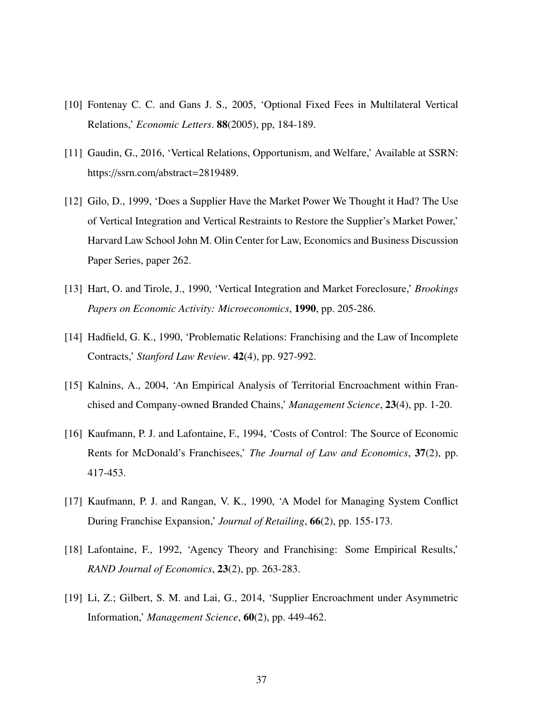- [10] Fontenay C. C. and Gans J. S., 2005, 'Optional Fixed Fees in Multilateral Vertical Relations,' *Economic Letters*. 88(2005), pp, 184-189.
- [11] Gaudin, G., 2016, 'Vertical Relations, Opportunism, and Welfare,' Available at SSRN: https://ssrn.com/abstract=2819489.
- [12] Gilo, D., 1999, 'Does a Supplier Have the Market Power We Thought it Had? The Use of Vertical Integration and Vertical Restraints to Restore the Supplier's Market Power,' Harvard Law School John M. Olin Center for Law, Economics and Business Discussion Paper Series, paper 262.
- [13] Hart, O. and Tirole, J., 1990, 'Vertical Integration and Market Foreclosure,' *Brookings Papers on Economic Activity: Microeconomics*, 1990, pp. 205-286.
- [14] Hadfield, G. K., 1990, 'Problematic Relations: Franchising and the Law of Incomplete Contracts,' *Stanford Law Review*. 42(4), pp. 927-992.
- [15] Kalnins, A., 2004, 'An Empirical Analysis of Territorial Encroachment within Franchised and Company-owned Branded Chains,' *Management Science*, 23(4), pp. 1-20.
- [16] Kaufmann, P. J. and Lafontaine, F., 1994, 'Costs of Control: The Source of Economic Rents for McDonald's Franchisees,' *The Journal of Law and Economics*, 37(2), pp. 417-453.
- [17] Kaufmann, P. J. and Rangan, V. K., 1990, 'A Model for Managing System Conflict During Franchise Expansion,' *Journal of Retailing*, 66(2), pp. 155-173.
- [18] Lafontaine, F., 1992, 'Agency Theory and Franchising: Some Empirical Results,' *RAND Journal of Economics*, 23(2), pp. 263-283.
- [19] Li, Z.; Gilbert, S. M. and Lai, G., 2014, 'Supplier Encroachment under Asymmetric Information,' *Management Science*, 60(2), pp. 449-462.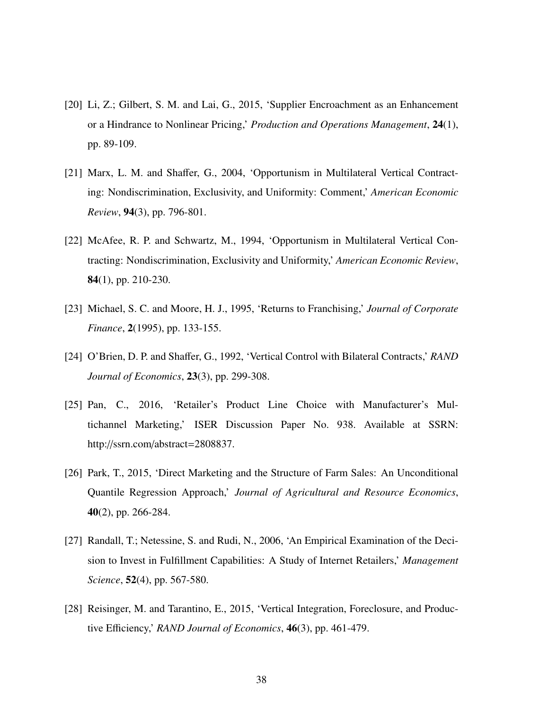- [20] Li, Z.; Gilbert, S. M. and Lai, G., 2015, 'Supplier Encroachment as an Enhancement or a Hindrance to Nonlinear Pricing,' *Production and Operations Management*, 24(1), pp. 89-109.
- [21] Marx, L. M. and Shaffer, G., 2004, 'Opportunism in Multilateral Vertical Contracting: Nondiscrimination, Exclusivity, and Uniformity: Comment,' *American Economic Review*, 94(3), pp. 796-801.
- [22] McAfee, R. P. and Schwartz, M., 1994, 'Opportunism in Multilateral Vertical Contracting: Nondiscrimination, Exclusivity and Uniformity,' *American Economic Review*, 84(1), pp. 210-230.
- [23] Michael, S. C. and Moore, H. J., 1995, 'Returns to Franchising,' *Journal of Corporate Finance*, 2(1995), pp. 133-155.
- [24] O'Brien, D. P. and Shaffer, G., 1992, 'Vertical Control with Bilateral Contracts,' *RAND Journal of Economics*, 23(3), pp. 299-308.
- [25] Pan, C., 2016, 'Retailer's Product Line Choice with Manufacturer's Multichannel Marketing,' ISER Discussion Paper No. 938. Available at SSRN: http://ssrn.com/abstract=2808837.
- [26] Park, T., 2015, 'Direct Marketing and the Structure of Farm Sales: An Unconditional Quantile Regression Approach,' *Journal of Agricultural and Resource Economics*, 40(2), pp. 266-284.
- [27] Randall, T.; Netessine, S. and Rudi, N., 2006, 'An Empirical Examination of the Decision to Invest in Fulfillment Capabilities: A Study of Internet Retailers,' *Management Science*, 52(4), pp. 567-580.
- [28] Reisinger, M. and Tarantino, E., 2015, 'Vertical Integration, Foreclosure, and Productive Efficiency,' *RAND Journal of Economics*, 46(3), pp. 461-479.